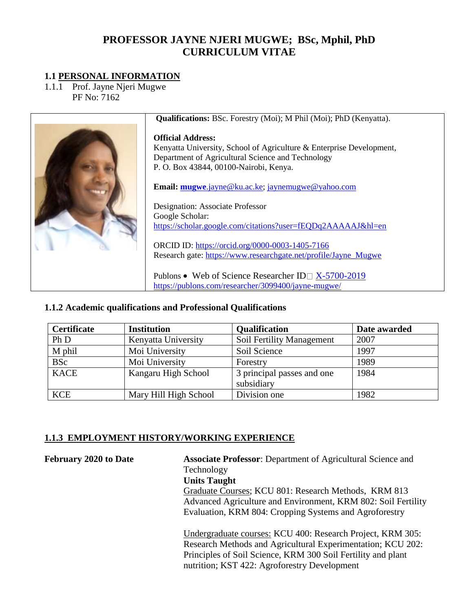# **PROFESSOR JAYNE NJERI MUGWE; BSc, Mphil, PhD CURRICULUM VITAE**

### **1.1 PERSONAL INFORMATION**

1.1.1 Prof. Jayne Njeri Mugwe PF No: 7162



**Qualifications:** BSc. Forestry (Moi); M Phil (Moi); PhD (Kenyatta).

#### **Official Address:**

Kenyatta University, School of Agriculture & Enterprise Development, Department of Agricultural Science and Technology P. O. Box 43844, 00100-Nairobi, Kenya.

**Email: mugwe**[.jayne@ku.ac.ke;](mailto:mugwe.jayne@ku.ac.ke) [jaynemugwe@yahoo.com](mailto:jaynemugwe@yahoo.com)

Designation: Associate Professor Google Scholar: <https://scholar.google.com/citations?user=fEQDq2AAAAAJ&hl=en> ORCID ID:<https://orcid.org/0000-0003-1405-7166>

Research gate: [https://www.researchgate.net/profile/Jayne\\_Mugwe](https://www.researchgate.net/profile/Jayne_Mugwe)

Publons • Web of Science Researcher ID  $X-5700-2019$ <https://publons.com/researcher/3099400/jayne-mugwe/>

#### **1.1.2 Academic qualifications and Professional Qualifications**

| <b>Certificate</b> | <b>Institution</b>    | <b>Qualification</b>                     | Date awarded |
|--------------------|-----------------------|------------------------------------------|--------------|
| Ph D               | Kenyatta University   | Soil Fertility Management                | 2007         |
| M phil             | Moi University        | Soil Science                             | 1997         |
| <b>BSc</b>         | Moi University        | Forestry                                 | 1989         |
| <b>KACE</b>        | Kangaru High School   | 3 principal passes and one<br>subsidiary | 1984         |
| <b>KCE</b>         | Mary Hill High School | Division one                             | 1982         |

### **1.1.3 EMPLOYMENT HISTORY/WORKING EXPERIENCE**

**February 2020 to Date Associate Professor**: Department of Agricultural Science and Technology **Units Taught** Graduate Courses; KCU 801: Research Methods, KRM 813 Advanced Agriculture and Environment, KRM 802: Soil Fertility Evaluation, KRM 804: Cropping Systems and Agroforestry Undergraduate courses: KCU 400: Research Project, KRM 305: Research Methods and Agricultural Experimentation; KCU 202: Principles of Soil Science, KRM 300 Soil Fertility and plant

nutrition; KST 422: Agroforestry Development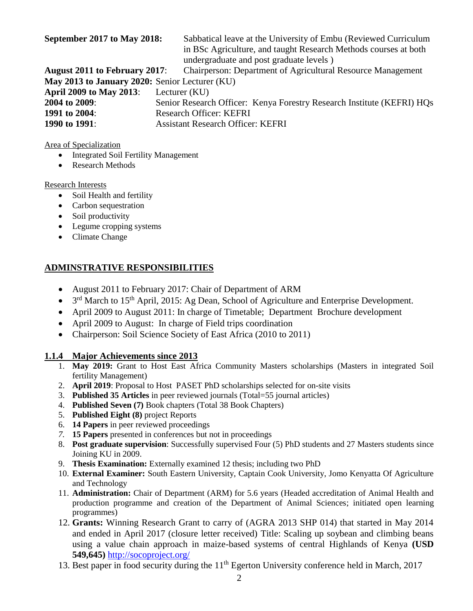**September 2017 to May 2018:** Sabbatical leave at the University of Embu (Reviewed Curriculum in BSc Agriculture, and taught Research Methods courses at both undergraduate and post graduate levels )

**August 2011 to February 2017**: Chairperson: Department of Agricultural Resource Management **May 2013 to January 2020:** Senior Lecturer (KU) **April 2009 to May 2013**: Lecturer (KU) **2004 to 2009**: Senior Research Officer: Kenya Forestry Research Institute (KEFRI) HQs **1991 to 2004**: Research Officer: KEFRI **1990 to 1991**: Assistant Research Officer: KEFRI

Area of Specialization

- Integrated Soil Fertility Management
- Research Methods

#### Research Interests

- Soil Health and fertility
- Carbon sequestration
- Soil productivity
- Legume cropping systems
- Climate Change

### **ADMINSTRATIVE RESPONSIBILITIES**

- August 2011 to February 2017: Chair of Department of ARM
- 3<sup>rd</sup> March to 15<sup>th</sup> April, 2015: Ag Dean, School of Agriculture and Enterprise Development.
- April 2009 to August 2011: In charge of Timetable; Department Brochure development
- April 2009 to August: In charge of Field trips coordination
- Chairperson: Soil Science Society of East Africa (2010 to 2011)

#### **1.1.4 Major Achievements since 2013**

- 1. **May 2019:** Grant to Host East Africa Community Masters scholarships (Masters in integrated Soil fertility Management)
- 2. **April 2019**: Proposal to Host PASET PhD scholarships selected for on-site visits
- 3. **Published 35 Articles** in peer reviewed journals (Total=55 journal articles)
- 4. **Published Seven (7)** Book chapters (Total 38 Book Chapters)
- 5. **Published Eight (8)** project Reports
- 6. **14 Papers** in peer reviewed proceedings
- *7.* **15 Papers** presented in conferences but not in proceedings
- 8. **Post graduate supervision**: Successfully supervised Four (5) PhD students and 27 Masters students since Joining KU in 2009.
- 9. **Thesis Examination:** Externally examined 12 thesis; including two PhD
- 10. **External Examiner:** South Eastern University, Captain Cook University, Jomo Kenyatta Of Agriculture and Technology
- 11. **Administration:** Chair of Department (ARM) for 5.6 years (Headed accreditation of Animal Health and production programme and creation of the Department of Animal Sciences; initiated open learning programmes)
- 12. **Grants:** Winning Research Grant to carry of (AGRA 2013 SHP 014) that started in May 2014 and ended in April 2017 (closure letter received) Title: Scaling up soybean and climbing beans using a value chain approach in maize-based systems of central Highlands of Kenya **(USD 549,645)** <http://socoproject.org/>
- 13. Best paper in food security during the 11<sup>th</sup> Egerton University conference held in March, 2017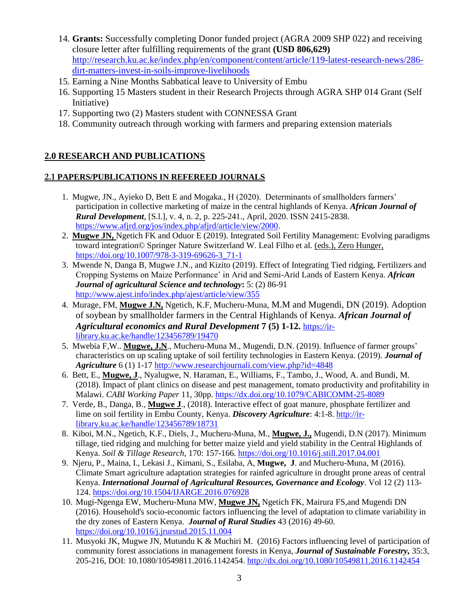- 14. **Grants:** Successfully completing Donor funded project (AGRA 2009 SHP 022) and receiving closure letter after fulfilling requirements of the grant **(USD 806,629)** [http://research.ku.ac.ke/index.php/en/component/content/article/119-latest-research-news/286](http://research.ku.ac.ke/index.php/en/component/content/article/119-latest-research-news/286-dirt-matters-invest-in-soils-improve-livelihoods) [dirt-matters-invest-in-soils-improve-livelihoods](http://research.ku.ac.ke/index.php/en/component/content/article/119-latest-research-news/286-dirt-matters-invest-in-soils-improve-livelihoods)
- 15. Earning a Nine Months Sabbatical leave to University of Embu
- 16. Supporting 15 Masters student in their Research Projects through AGRA SHP 014 Grant (Self Initiative)
- 17. Supporting two (2) Masters student with CONNESSA Grant
- 18. Community outreach through working with farmers and preparing extension materials

## **2.0 RESEARCH AND PUBLICATIONS**

#### **2.1 PAPERS/PUBLICATIONS IN REFEREED JOURNALS**

- 1. Mugwe, JN., Ayieko D, Bett E and Mogaka., H (2020). Determinants of smallholders farmers' participation in collective marketing of maize in the central highlands of Kenya. *African Journal of Rural Development*, [S.l.], v. 4, n. 2, p. 225-241., April, 2020. ISSN 2415-2838. [https://www.afjrd.org/jos/index.php/afjrd/article/view/2000.](https://www.afjrd.org/jos/index.php/afjrd/article/view/2000)
- 2. **Mugwe JN,** Ngetich FK and Oduor E (2019). Integrated Soil Fertility Management: Evolving paradigms toward integration© Springer Nature Switzerland W. Leal Filho et al. (eds.), Zero Hunger, https://doi.org/10.1007/978-3-319-69626-3\_71-1
- 3. Mwende N, Danga B, Mugwe J.N., and Kizito (2019). Effect of Integrating Tied ridging, Fertilizers and Cropping Systems on Maize Performance' in Arid and Semi-Arid Lands of Eastern Kenya. *African Journal of agricultural Science and technology***:** 5: (2) 86-91 <http://www.ajest.info/index.php/ajest/article/view/355>
- 4. Murage, FM, **Mugwe J.N,** Ngetich, K.F, Mucheru-Muna, M.M and Mugendi, DN (2019). Adoption of soybean by smallholder farmers in the Central Highlands of Kenya. *African Journal of Agricultural economics and Rural Development* **7 (5) 1-12.** [https://ir](https://ir-library.ku.ac.ke/handle/123456789/19470)[library.ku.ac.ke/handle/123456789/19470](https://ir-library.ku.ac.ke/handle/123456789/19470)
- 5. Mwebia F,W.. **Mugwe, J.N**., Mucheru-Muna M., Mugendi, D.N. (2019). Influence of farmer groups' characteristics on up scaling uptake of soil fertility technologies in Eastern Kenya. (2019). *Journal of Agriculture* 6 (1) 1-17<http://www.researchjournali.com/view.php?id=4848>
- 6. Bett, E., **Mugwe, J**., Nyalugwe, N. Haraman, E., Williams, F., Tambo, J., Wood, A. and Bundi, M. (2018). Impact of plant clinics on disease and pest management, tomato productivity and profitability in Malawi. *CABI Working Paper* 11, 30pp. <https://dx.doi.org/10.1079/CABICOMM-25-8089>
- 7. Verde, B., Danga, B., **Mugwe J**., (2018). Interactive effect of goat manure, phosphate fertilizer and lime on soil fertility in Embu County, Kenya. *Discovery Agriculture*: 4:1-8. [http://ir](http://ir-library.ku.ac.ke/handle/123456789/18731)[library.ku.ac.ke/handle/123456789/18731](http://ir-library.ku.ac.ke/handle/123456789/18731)
- 8. Kiboi, M.N., Ngetich, K.F., Diels, J., Mucheru-Muna, M., **Mugwe, J.,** Mugendi, D.N (2017). Minimum tillage, tied ridging and mulching for better maize yield and yield stability in the Central Highlands of Kenya. *Soil & Tillage Research*, 170: 157-166. <https://doi.org/10.1016/j.still.2017.04.001>
- 9. Njeru, P., Maina, I., Lekasi J., Kimani, S., Esilaba, A, **Mugwe, J**. and Mucheru-Muna, M (2016). Climate Smart agriculture adaptation strategies for rainfed agriculture in drought prone areas of central Kenya. *International Journal of Agricultural Resources, Governance and Ecology*. Vol 12 (2) 113- 124.<https://doi.org/10.1504/IJARGE.2016.076928>
- 10. Mugi-Ngenga EW, Mucheru-Muna MW, **Mugwe JN,** Ngetich FK, Mairura FS,and Mugendi DN (2016). Household's socio-economic factors influencing the level of adaptation to climate variability in the dry zones of Eastern Kenya. *Journal of Rural Studies* 43 (2016) 49-60. <https://doi.org/10.1016/j.jrurstud.2015.11.004>
- 11. Musyoki JK, Mugwe JN, Mutundu K & Muchiri M. (2016) Factors influencing level of participation of community forest associations in management forests in Kenya, *Journal of Sustainable Forestry,* 35:3, 205-216, DOI: 10.1080/10549811.2016.1142454.<http://dx.doi.org/10.1080/10549811.2016.1142454>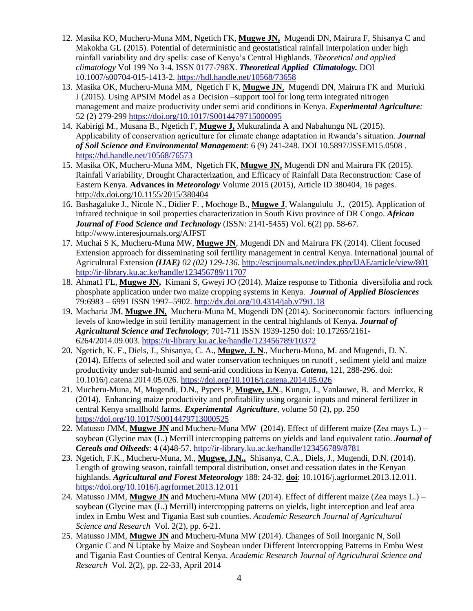- 12. Masika KO, Mucheru-Muna MM, Ngetich FK, **Mugwe JN,** Mugendi DN, Mairura F, Shisanya C and Makokha GL (2015). Potential of deterministic and geostatistical rainfall interpolation under high rainfall variability and dry spells: case of Kenya's Central Highlands. *Theoretical and applied climatology* Vol 199 No 3-4. ISSN 0177-798X. *Theoretical Applied Climatology.* DOI 10.1007/s00704-015-1413-2.<https://hdl.handle.net/10568/73658>
- 13. Masika OK, Mucheru-Muna MM, Ngetich F K, **Mugwe JN**, Mugendi DN, Mairura FK and Muriuki J (2015). Using APSIM Model as a Decision –support tool for long term integrated nitrogen management and maize productivity under semi arid conditions in Kenya. *Experimental Agriculture:* 52 (2) 279-299<https://doi.org/10.1017/S0014479715000095>
- 14. Kabirigi M., Musana B., Ngetich F, **Mugwe J,** Mukuralinda A and Nabahungu NL (2015). Applicability of conservation agriculture for climate change adaptation in Rwanda's situation. *Journal of Soil Science and Environmental Management*: 6 (9) 241-248. DOI 10.5897/JSSEM15.0508 . <https://hd.handle.net/10568/76573>
- 15. Masika OK, Mucheru-Muna MM, Ngetich FK, **Mugwe JN,** Mugendi DN and Mairura FK (2015). Rainfall Variability, Drought Characterization, and Efficacy of Rainfall Data Reconstruction: Case of Eastern Kenya. **Advances in** *Meteorology* Volume 2015 (2015), Article ID 380404, 16 pages. <http://dx.doi.org/10.1155/2015/380404>
- 16. Bashagaluke J., Nicole N., Didier F. , Mochoge B., **Mugwe J**, Walangululu J., (2015). Application of infrared technique in soil properties characterization in South Kivu province of DR Congo. *African Journal of Food Science and Technology* (ISSN: 2141-5455) Vol. 6(2) pp. 58-67. http://www.interesjournals.org/AJFST
- 17. Muchai S K, Mucheru-Muna MW, **Mugwe JN**, Mugendi DN and Mairura FK (2014). Client focused Extension approach for disseminating soil fertility management in central Kenya. International journal of Agricultural Extension *(IJAE) 02 (02) 129-136.* <http://escijournals.net/index.php/IJAE/article/view/801> <http://ir-library.ku.ac.ke/handle/123456789/11707>
- 18. Ahmat1 FL, **Mugwe JN,** Kimani S, Gweyi JO (2014). Maize response to Tithonia diversifolia and rock phosphate application under two maize cropping systems in Kenya. *Journal of Applied Biosciences* 79:6983 – 6991 ISSN 1997–5902.<http://dx.doi.org/10.4314/jab.v79i1.18>
- 19. Macharia JM, **Mugwe JN**, Mucheru-Muna M, Mugendi DN (2014). Socioeconomic factors influencing levels of knowledge in soil fertility management in the central highlands of Kenya*. Journal of Agricultural Science and Technology*; 701-711 ISSN 1939-1250 doi: 10.17265/2161- 6264/2014.09.003[. https://ir-library.ku.ac.ke/handle/123456789/10372](https://ir-library.ku.ac.ke/handle/123456789/10372)
- 20. Ngetich, K. F., Diels, J., Shisanya, C. A., **Mugwe, J. N**., Mucheru-Muna, M. and Mugendi, D. N. (2014). Effects of selected soil and water conservation techniques on runoff , sediment yield and maize productivity under sub-humid and semi-arid conditions in Kenya. *Catena***,** 121, 288-296. doi: 10.1016/j.catena.2014.05.026.<https://doi.org/10.1016/j.catena.2014.05.026>
- 21. Mucheru-Muna, M, Mugendi, D.N., Pypers P, **Mugwe, J.N**., Kungu, J., Vanlauwe, B. and Merckx, R (2014). Enhancing maize productivity and profitability using organic inputs and mineral fertilizer in central Kenya smallhold farms. *Experimental Agriculture*, volume 50 (2), pp. 250 <https://doi.org/10.1017/S0014479713000525>
- 22. Matusso JMM, **Mugwe JN** and Mucheru-Muna MW (2014). Effect of different maize (Zea mays L.) soybean (Glycine max (L.) Merrill intercropping patterns on yields and land equivalent ratio. *Journal of Cereals and Oilseeds*: 4 (4)48-57.<http://ir-library.ku.ac.ke/handle/123456789/8781>
- 23. Ngetich, F.K., Mucheru-Muna, M., **Mugwe, J.N.,** Shisanya, C.A., Diels, J., Mugendi, D.N. (2014). Length of growing season, rainfall temporal distribution, onset and cessation dates in the Kenyan highlands. *Agricultural and Forest Meteorology* 188: 24-32. **doi**: 10.1016/j.agrformet.2013.12.011. <https://doi.org/10.1016/j.agrformet.2013.12.011>
- 24. Matusso JMM, **Mugwe JN** and Mucheru-Muna MW (2014). Effect of different maize (Zea mays L.) soybean (Glycine max (L.) Merrill) intercropping patterns on yields, light interception and leaf area index in Embu West and Tigania East sub counties. *Academic Research Journal of Agricultural Science and Research* Vol. 2(2), pp. 6-21.
- 25. Matusso JMM, **Mugwe JN** and Mucheru-Muna MW (2014). Changes of Soil Inorganic N, Soil Organic C and N Uptake by Maize and Soybean under Different Intercropping Patterns in Embu West and Tigania East Counties of Central Kenya. *Academic Research Journal of Agricultural Science and Research* Vol. 2(2), pp. 22-33, April 2014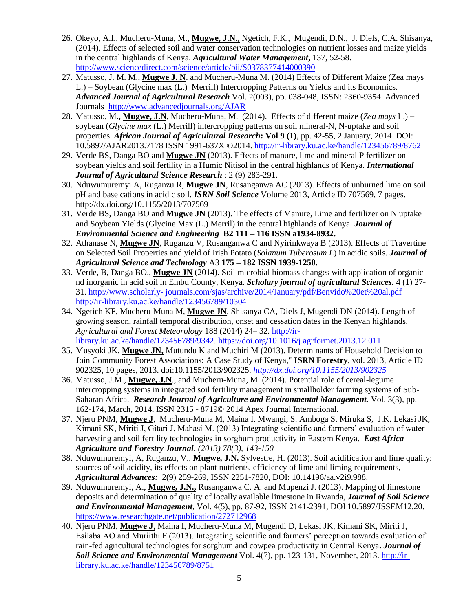- 26. Okeyo, A.I., Mucheru-Muna, M., **Mugwe, J.N.,** Ngetich, F.K., Mugendi, D.N., J. Diels, C.A. Shisanya, (2014). Effects of selected soil and water conservation technologies on nutrient losses and maize yields in the central highlands of Kenya. *Agricultural Water Management***,** 137, 52-58. [http://www.sciencedirect.com/science/article/pii/S0378377414000390](https://econpapers.repec.org/scripts/redir.pf?u=http%3A%2F%2Fwww.sciencedirect.com%2Fscience%2Farticle%2Fpii%2FS0378377414000390;h=repec:eee:agiwat:v:137:y:2014:i:c:p:52-58)
- 27. Matusso, J. M. M., **Mugwe J. N**. and Mucheru-Muna M. (2014) Effects of Different Maize (Zea mays L.) – Soybean (Glycine max (L.) Merrill) Intercropping Patterns on Yields and its Economics. *Advanced Journal of Agricultural Research* Vol. 2(003), pp. 038-048, ISSN: 2360-9354 Advanced Journals <http://www.advancedjournals.org/AJAR>
- 28. Matusso, M.**, Mugwe, J.N**, Mucheru-Muna, M. (2014). Effects of different maize (*Zea mays* L.) soybean (*Glycine max* (L.) Merrill) intercropping patterns on soil mineral-N, N-uptake and soil properties *African Journal of Agricultural Research***: Vol 9 (1)**, pp. 42-55, 2 January, 2014 DOI: 10.5897/AJAR2013.7178 ISSN 1991-637X ©2014. <http://ir-library.ku.ac.ke/handle/123456789/8762>
- 29. Verde BS, Danga BO and **Mugwe JN** (2013). Effects of manure, lime and mineral P fertilizer on soybean yields and soil fertility in a Humic Nitisol in the central highlands of Kenya. *International Journal of Agricultural Science Research* : 2 (9) 283-291.
- 30. Nduwumuremyi A, Ruganzu R, **Mugwe JN**, Rusanganwa AC (2013). Effects of unburned lime on soil pH and base cations in acidic soil. *ISRN Soil Science* Volume 2013, Article ID 707569, 7 pages. http://dx.doi.org/10.1155/2013/707569
- 31. Verde BS, Danga BO and **Mugwe JN** (2013). The effects of Manure, Lime and fertilizer on N uptake and Soybean Yields (Glycine Max (L.) Merril) in the central highlands of Kenya. *Journal of Environmental Science and Engineering* **B2 111 – 116 ISSN a1934-8932.**
- 32. Athanase N, **Mugwe JN**, Ruganzu V, Rusanganwa C and Nyirinkwaya B (2013). Effects of Travertine on Selected Soil Properties and yield of Irish Potato (*Solanum Tuberosum L*) in acidic soils. *Journal of Agricultural Science and Technology* A3 **175 – 182 ISSN 1939-1250**.
- 33. Verde, B, Danga BO., **Mugwe JN** (2014). Soil microbial biomass changes with application of organic nd inorganic in acid soil in Embu County, Kenya. *Scholary journal of agricultural Sciences.* 4 (1) 27- 31. http://www.scholarly- journals.com/sjas/archive/2014/January/pdf/Benvido%20et%20al.pdf <http://ir-library.ku.ac.ke/handle/123456789/10304>
- 34. Ngetich KF, Mucheru-Muna M, **Mugwe JN**, Shisanya CA, Diels J, Mugendi DN (2014). Length of growing season, rainfall temporal distribution, onset and cessation dates in the Kenyan highlands. *Agricultural and Forest Meteorology* 188 (2014) 24– 32. [http://ir](http://ir-library.ku.ac.ke/handle/123456789/9342)[library.ku.ac.ke/handle/123456789/9342.](http://ir-library.ku.ac.ke/handle/123456789/9342)<https://doi.org/10.1016/j.agrformet.2013.12.011>
- 35. Musyoki JK, **Mugwe JN,** Mutundu K and Muchiri M (2013). Determinants of Household Decision to Join Community Forest Associations: A Case Study of Kenya," **ISRN Forestry**, vol. 2013, Article ID 902325, 10 pages, 2013. doi:10.1155/2013/902325. *<http://dx.doi.org/10.1155/2013/902325>*
- 36. Matusso, J.M., **Mugwe, J.N**., and Mucheru-Muna, M. (2014). Potential role of cereal-legume intercropping systems in integrated soil fertility management in smallholder farming systems of Sub-Saharan Africa. *Research Journal of Agriculture and Environmental Management.* Vol. 3(3), pp. 162-174, March, 2014, ISSN 2315 - 8719© 2014 Apex Journal International.
- 37. Njeru PNM, **Mugwe J**, Mucheru-Muna M, Maina I, Mwangi, S. Amboga S. Miruka S, J.K. Lekasi JK, Kimani SK, Miriti J, Gitari J, Mahasi M. (2013) Integrating scientific and farmers' evaluation of water harvesting and soil fertility technologies in sorghum productivity in Eastern Kenya. *East Africa Agriculture and Forestry Journal. (2013) 78(3), 143-150*
- 38. Nduwumuremyi, A, Ruganzu, V., **Mugwe, J.N.** Sylvestre, H. (2013). Soil acidification and lime quality: sources of soil acidity, its effects on plant nutrients, efficiency of lime and liming requirements, *Agricultural Advances:* 2(9) 259-269, ISSN 2251-7820, DOI: 10.14196/aa.v2i9.988.
- 39. Nduwumuremyi, A., **Mugwe, J.N.,** Rusanganwa C. A. and Mupenzi J. (2013). Mapping of limestone deposits and determination of quality of locally available limestone in Rwanda, *Journal of Soil Science and Environmental Management*, Vol. 4(5), pp. 87-92, ISSN 2141-2391, DOI 10.5897/JSSEM12.20. <https://www.researchgate.net/publication/272712968>
- 40. Njeru PNM, **Mugwe J**, Maina I, Mucheru-Muna M, Mugendi D, Lekasi JK, Kimani SK, Miriti J, Esilaba AO and Muriithi F (2013). Integrating scientific and farmers' perception towards evaluation of rain-fed agricultural technologies for sorghum and cowpea productivity in Central Kenya**.** *Journal of Soil Science and Environmental Management* Vol. 4(7), pp. 123-131, November, 2013. [http://ir](http://ir-library.ku.ac.ke/handle/123456789/8751)[library.ku.ac.ke/handle/123456789/8751](http://ir-library.ku.ac.ke/handle/123456789/8751)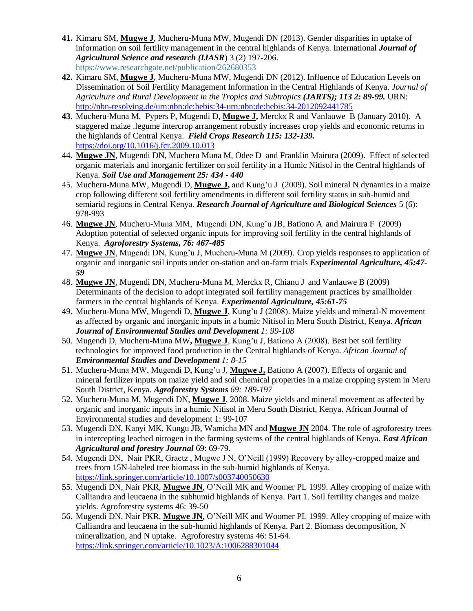- **41.** Kimaru SM, **Mugwe J**, Mucheru-Muna MW, Mugendi DN (2013). Gender disparities in uptake of information on soil fertility management in the central highlands of Kenya. International *Journal of Agricultural Science and research (IJASR*) 3 (2) 197-206. https://www.researchgate.net/publication/262680353
- **42.** Kimaru SM, **Mugwe J**, Mucheru-Muna MW, Mugendi DN (2012). Influence of Education Levels on Dissemination of Soil Fertility Management Information in the Central Highlands of Kenya. *Journal of Agriculture and Rural Development in the Tropics and Subtropics (JARTS); 113 2: 89-99.* URN: <http://nbn-resolving.de/urn:nbn:de:hebis:34-urn:nbn:de:hebis:34-2012092441785>
- **43.** Mucheru-Muna M, Pypers P, Mugendi D, **Mugwe J,** Merckx R and Vanlauwe B (January 2010). A staggered maize .legume intercrop arrangement robustly increases crop yields and economic returns in the highlands of Central Kenya. *Field Crops Research 115: 132-139.*  <https://doi.org/10.1016/j.fcr.2009.10.013>
- 44. **Mugwe JN**, Mugendi DN, Mucheru Muna M, Odee D and Franklin Mairura (2009). Effect of selected organic materials and inorganic fertilizer on soil fertility in a Humic Nitisol in the Central highlands of Kenya. *Soil Use and Management 25: 434 - 440*
- 45. Mucheru-Muna MW, Mugendi D, **Mugwe J,** and Kung'u J (2009). Soil mineral N dynamics in a maize crop following different soil fertility amendments in different soil fertility status in sub-humid and semiarid regions in Central Kenya. *Research Journal of Agriculture and Biological Sciences* 5 (6): 978-993
- 46. **Mugwe JN**, Mucheru-Muna MM, Mugendi DN, Kung'u JB, Bationo A and Mairura F (2009) Adoption potential of selected organic inputs for improving soil fertility in the central highlands of Kenya. *Agroforestry Systems, 76: 467-485*
- 47. **Mugwe JN**, Mugendi DN, Kung'u J, Mucheru-Muna M (2009). Crop yields responses to application of organic and inorganic soil inputs under on-station and on-farm trials *Experimental Agriculture, 45:47- 59*
- 48. **Mugwe JN**, Mugendi DN, Mucheru-Muna M, Merckx R, Chianu J and Vanlauwe B (2009) Determinants of the decision to adopt integrated soil fertility management practices by smallholder farmers in the central highlands of Kenya. *Experimental Agriculture, 45:61-75*
- 49. Mucheru-Muna MW, Mugendi D, **Mugwe J**, Kung'u J (2008). Maize yields and mineral-N movement as affected by organic and inorganic inputs in a humic Nitisol in Meru South District, Kenya. *African Journal of Environmental Studies and Development 1: 99-108*
- 50. Mugendi D, Mucheru-Muna MW**, Mugwe J**, Kung'u J, Bationo A (2008). Best bet soil fertility technologies for improved food production in the Central highlands of Kenya. *African Journal of Environmental Studies and Development 1: 8-15*
- 51. Mucheru-Muna MW, Mugendi D, Kung'u J, **Mugwe J,** Bationo A (2007). Effects of organic and mineral fertilizer inputs on maize yield and soil chemical properties in a maize cropping system in Meru South District, Kenya. *Agroforestry Systems 69: 189-197*
- 52. Mucheru-Muna M, Mugendi DN, **Mugwe J**. 2008. Maize yields and mineral movement as affected by organic and inorganic inputs in a humic Nitisol in Meru South District, Kenya. African Journal of Environmental studies and development 1: 99-107
- 53. Mugendi DN, Kanyi MK, Kungu JB, Wamicha MN and **Mugwe JN** 2004. The role of agroforestry trees in intercepting leached nitrogen in the farming systems of the central highlands of Kenya. *East African Agricultural and forestry Journal* 69: 69-79.
- 54. Mugendi DN, Nair PKR, Graetz , Mugwe J N, O'Neill (1999) Recovery by alley-cropped maize and trees from 15N-labeled tree biomass in the sub-humid highlands of Kenya. <https://link.springer.com/article/10.1007/s003740050630>
- 55. Mugendi DN, Nair PKR, **Mugwe JN**, O'Neill MK and Woomer PL 1999. Alley cropping of maize with Calliandra and leucaena in the subhumid highlands of Kenya. Part 1. Soil fertility changes and maize yields. Agroforestry systems 46: 39-50
- 56. Mugendi DN, Nair PKR, **Mugwe JN**, O'Neill MK and Woomer PL 1999. Alley cropping of maize with Calliandra and leucaena in the sub-humid highlands of Kenya. Part 2. Biomass decomposition, N mineralization, and N uptake. Agroforestry systems 46: 51-64. <https://link.springer.com/article/10.1023/A:1006288301044>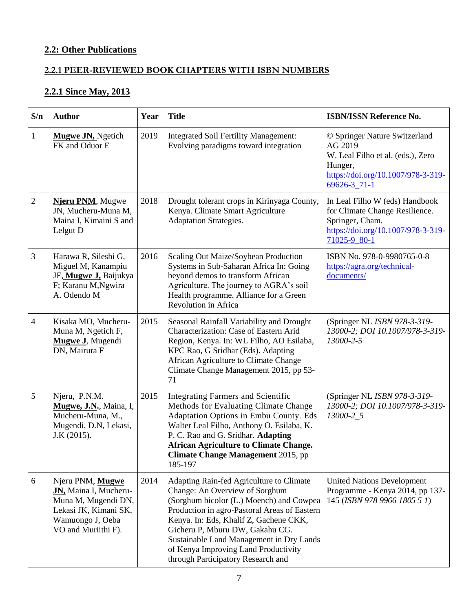# **2.2: Other Publications**

### **2.2.1 PEER-REVIEWED BOOK CHAPTERS WITH ISBN NUMBERS**

# **2.2.1 Since May, 2013**

| S/n            | <b>Author</b>                                                                                                                        | Year | <b>Title</b>                                                                                                                                                                                                                                                                                                                                                                  | <b>ISBN/ISSN Reference No.</b>                                                                                                                     |
|----------------|--------------------------------------------------------------------------------------------------------------------------------------|------|-------------------------------------------------------------------------------------------------------------------------------------------------------------------------------------------------------------------------------------------------------------------------------------------------------------------------------------------------------------------------------|----------------------------------------------------------------------------------------------------------------------------------------------------|
| $\mathbf{1}$   | <b>Mugwe JN, Ngetich</b><br>FK and Oduor E                                                                                           | 2019 | <b>Integrated Soil Fertility Management:</b><br>Evolving paradigms toward integration                                                                                                                                                                                                                                                                                         | © Springer Nature Switzerland<br>AG 2019<br>W. Leal Filho et al. (eds.), Zero<br>Hunger,<br>https://doi.org/10.1007/978-3-319-<br>$69626 - 3$ 71-1 |
| $\sqrt{2}$     | Njeru PNM, Mugwe<br>JN, Mucheru-Muna M,<br>Maina I, Kimaini S and<br>Lelgut D                                                        | 2018 | Drought tolerant crops in Kirinyaga County,<br>Kenya. Climate Smart Agriculture<br><b>Adaptation Strategies.</b>                                                                                                                                                                                                                                                              | In Leal Filho W (eds) Handbook<br>for Climate Change Resilience.<br>Springer, Cham.<br>https://doi.org/10.1007/978-3-319-<br>71025-9_80-1          |
| $\mathfrak{Z}$ | Harawa R, Sileshi G,<br>Miguel M, Kanampiu<br>JF, Mugwe J, Baijukya<br>F; Karanu M, Ngwira<br>A. Odendo M                            | 2016 | Scaling Out Maize/Soybean Production<br>Systems in Sub-Saharan Africa In: Going<br>beyond demos to transform African<br>Agriculture. The journey to AGRA's soil<br>Health programme. Alliance for a Green<br>Revolution in Africa                                                                                                                                             | ISBN No. 978-0-9980765-0-8<br>https://agra.org/technical-<br>documents/                                                                            |
| $\overline{4}$ | Kisaka MO, Mucheru-<br>Muna M, Ngetich F,<br>Mugwe J, Mugendi<br>DN, Mairura F                                                       | 2015 | Seasonal Rainfall Variability and Drought<br>Characterization: Case of Eastern Arid<br>Region, Kenya. In: WL Filho, AO Esilaba,<br>KPC Rao, G Sridhar (Eds). Adapting<br>African Agriculture to Climate Change<br>Climate Change Management 2015, pp 53-<br>71                                                                                                                | (Springer NL ISBN 978-3-319-<br>13000-2; DOI 10.1007/978-3-319-<br>13000-2-5                                                                       |
| 5              | Njeru, P.N.M.<br>Mugwe, J.N., Maina, I,<br>Mucheru-Muna, M.,<br>Mugendi, D.N, Lekasi,<br>J.K (2015).                                 | 2015 | <b>Integrating Farmers and Scientific</b><br>Methods for Evaluating Climate Change<br>Adaptation Options in Embu County. Eds<br>Walter Leal Filho, Anthony O. Esilaba, K.<br>P. C. Rao and G. Sridhar. Adapting<br><b>African Agriculture to Climate Change.</b><br><b>Climate Change Management 2015, pp</b><br>185-197                                                      | (Springer NL ISBN 978-3-319-<br>13000-2; DOI 10.1007/978-3-319-<br>13000-2_5                                                                       |
| 6              | Njeru PNM, Mugwe<br>JN, Maina I, Mucheru-<br>Muna M, Mugendi DN,<br>Lekasi JK, Kimani SK,<br>Wamuongo J, Oeba<br>VO and Muriithi F). | 2014 | Adapting Rain-fed Agriculture to Climate<br>Change: An Overview of Sorghum<br>(Sorghum bicolor (L.) Moench) and Cowpea<br>Production in agro-Pastoral Areas of Eastern<br>Kenya. In: Eds, Khalif Z, Gachene CKK,<br>Gicheru P, Mburu DW, Gakahu CG.<br>Sustainable Land Management in Dry Lands<br>of Kenya Improving Land Productivity<br>through Participatory Research and | <b>United Nations Development</b><br>Programme - Kenya 2014, pp 137-<br>145 (ISBN 978 9966 1805 5 1)                                               |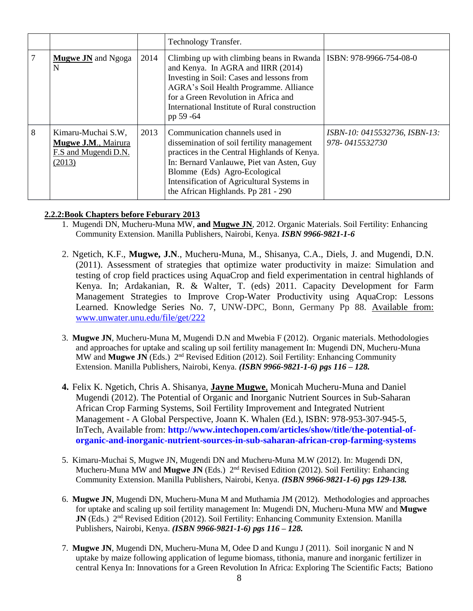|   |                                                                             |      | <b>Technology Transfer.</b>                                                                                                                                                                                                                                                                            |                                                 |
|---|-----------------------------------------------------------------------------|------|--------------------------------------------------------------------------------------------------------------------------------------------------------------------------------------------------------------------------------------------------------------------------------------------------------|-------------------------------------------------|
|   | <b>Mugwe JN</b> and Ngoga<br>N                                              | 2014 | Climbing up with climbing beans in Rwanda   ISBN: 978-9966-754-08-0<br>and Kenya. In AGRA and IIRR (2014)<br>Investing in Soil: Cases and lessons from<br>AGRA's Soil Health Programme. Alliance<br>for a Green Revolution in Africa and<br>International Institute of Rural construction<br>pp 59 -64 |                                                 |
| 8 | Kimaru-Muchai S.W,<br>Mugwe J.M., Mairura<br>F.S and Mugendi D.N.<br>(2013) | 2013 | Communication channels used in<br>dissemination of soil fertility management<br>practices in the Central Highlands of Kenya.<br>In: Bernard Vanlauwe, Piet van Asten, Guy<br>Blomme (Eds) Agro-Ecological<br>Intensification of Agricultural Systems in<br>the African Highlands. Pp 281 - 290         | ISBN-10: 0415532736, ISBN-13:<br>978-0415532730 |

#### **2.2.2:Book Chapters before Feburary 2013**

- 1. Mugendi DN, Mucheru-Muna MW, **and Mugwe JN**, 2012. Organic Materials. Soil Fertility: Enhancing Community Extension. Manilla Publishers, Nairobi, Kenya. *ISBN 9966-9821-1-6*
- 2. Ngetich, K.F., **Mugwe, J.N**., Mucheru-Muna, M., Shisanya, C.A., Diels, J. and Mugendi, D.N. (2011). Assessment of strategies that optimize water productivity in maize: Simulation and testing of crop field practices using AquaCrop and field experimentation in central highlands of Kenya. In; Ardakanian, R. & Walter, T. (eds) 2011. Capacity Development for Farm Management Strategies to Improve Crop-Water Productivity using AquaCrop: Lessons Learned. Knowledge Series No. 7, UNW-DPC, Bonn, Germany Pp 88. Available from: [www.unwater.unu.edu/file/get/222](http://www.unwater.unu.edu/file/get/222)
- 3. **Mugwe JN**, Mucheru-Muna M, Mugendi D.N and Mwebia F (2012). Organic materials. Methodologies and approaches for uptake and scaling up soil fertility management In: Mugendi DN, Mucheru-Muna MW and **Mugwe JN** (Eds.) 2nd Revised Edition (2012). Soil Fertility: Enhancing Community Extension. Manilla Publishers, Nairobi, Kenya. *(ISBN 9966-9821-1-6) pgs 116 – 128.*
- **4.** Felix K. Ngetich, Chris A. Shisanya, **Jayne Mugwe**, Monicah Mucheru-Muna and Daniel Mugendi (2012). The Potential of Organic and Inorganic Nutrient Sources in Sub-Saharan African Crop Farming Systems, Soil Fertility Improvement and Integrated Nutrient Management - A Global Perspective, Joann K. Whalen (Ed.), ISBN: 978-953-307-945-5, InTech, Available from: **[http://www.intechopen.com/articles/show/title/the-potential-of](http://www.intechopen.com/articles/show/title/the-potential-of-organic-and-inorganic-nutrient-sources-in-sub-saharan-african-crop-farming-systems)[organic-and-inorganic-nutrient-sources-in-sub-saharan-african-crop-farming-systems](http://www.intechopen.com/articles/show/title/the-potential-of-organic-and-inorganic-nutrient-sources-in-sub-saharan-african-crop-farming-systems)**
- 5. Kimaru-Muchai S, Mugwe JN, Mugendi DN and Mucheru-Muna M.W (2012). In: Mugendi DN, Mucheru-Muna MW and **Mugwe JN** (Eds.) 2nd Revised Edition (2012). Soil Fertility: Enhancing Community Extension. Manilla Publishers, Nairobi, Kenya. *(ISBN 9966-9821-1-6) pgs 129-138.*
- 6. **Mugwe JN**, Mugendi DN, Mucheru-Muna M and Muthamia JM (2012). Methodologies and approaches for uptake and scaling up soil fertility management In: Mugendi DN, Mucheru-Muna MW and **Mugwe JN** (Eds.) 2<sup>nd</sup> Revised Edition (2012). Soil Fertility: Enhancing Community Extension. Manilla Publishers, Nairobi, Kenya. *(ISBN 9966-9821-1-6) pgs 116 – 128.*
- 7. **Mugwe JN**, Mugendi DN, Mucheru-Muna M, Odee D and Kungu J (2011). Soil inorganic N and N uptake by maize following application of legume biomass, tithonia, manure and inorganic fertilizer in central Kenya In: Innovations for a Green Revolution In Africa: Exploring The Scientific Facts; Bationo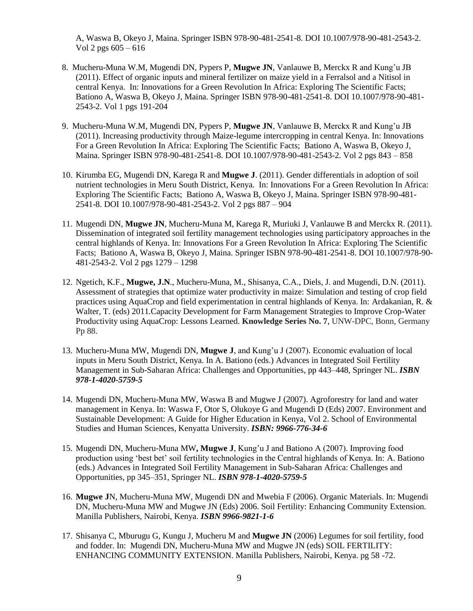A, Waswa B, Okeyo J, Maina. Springer ISBN 978-90-481-2541-8. DOI 10.1007/978-90-481-2543-2. Vol 2 pgs 605 – 616

- 8. Mucheru-Muna W.M, Mugendi DN, Pypers P, **Mugwe JN**, Vanlauwe B, Merckx R and Kung'u JB (2011). Effect of organic inputs and mineral fertilizer on maize yield in a Ferralsol and a Nitisol in central Kenya. In: Innovations for a Green Revolution In Africa: Exploring The Scientific Facts; Bationo A, Waswa B, Okeyo J, Maina. Springer ISBN 978-90-481-2541-8. DOI 10.1007/978-90-481- 2543-2. Vol 1 pgs 191-204
- 9. Mucheru-Muna W.M, Mugendi DN, Pypers P, **Mugwe JN**, Vanlauwe B, Merckx R and Kung'u JB (2011). Increasing productivity through Maize-legume intercropping in central Kenya. In: Innovations For a Green Revolution In Africa: Exploring The Scientific Facts; Bationo A, Waswa B, Okeyo J, Maina. Springer ISBN 978-90-481-2541-8. DOI 10.1007/978-90-481-2543-2. Vol 2 pgs 843 – 858
- 10. Kirumba EG, Mugendi DN, Karega R and **Mugwe J**. (2011). Gender differentials in adoption of soil nutrient technologies in Meru South District, Kenya. In: Innovations For a Green Revolution In Africa: Exploring The Scientific Facts; Bationo A, Waswa B, Okeyo J, Maina. Springer ISBN 978-90-481- 2541-8. DOI 10.1007/978-90-481-2543-2. Vol 2 pgs 887 – 904
- 11. Mugendi DN, **Mugwe JN**, Mucheru-Muna M, Karega R, Muriuki J, Vanlauwe B and Merckx R. (2011). Dissemination of integrated soil fertility management technologies using participatory approaches in the central highlands of Kenya. In: Innovations For a Green Revolution In Africa: Exploring The Scientific Facts; Bationo A, Waswa B, Okeyo J, Maina. Springer ISBN 978-90-481-2541-8. DOI 10.1007/978-90- 481-2543-2. Vol 2 pgs 1279 – 1298
- 12. Ngetich, K.F., **Mugwe, J.N**., Mucheru-Muna, M., Shisanya, C.A., Diels, J. and Mugendi, D.N. (2011). Assessment of strategies that optimize water productivity in maize: Simulation and testing of crop field practices using AquaCrop and field experimentation in central highlands of Kenya. In: Ardakanian, R. & Walter, T. (eds) 2011.Capacity Development for Farm Management Strategies to Improve Crop-Water Productivity using AquaCrop: Lessons Learned. **Knowledge Series No. 7**, UNW-DPC, Bonn, Germany Pp 88.
- 13. Mucheru-Muna MW, Mugendi DN, **Mugwe J**, and Kung'u J (2007). Economic evaluation of local inputs in Meru South District, Kenya. In A. Bationo (eds.) Advances in Integrated Soil Fertility Management in Sub-Saharan Africa: Challenges and Opportunities, pp 443–448, Springer NL. *ISBN 978-1-4020-5759-5*
- 14. Mugendi DN, Mucheru-Muna MW, Waswa B and Mugwe J (2007). Agroforestry for land and water management in Kenya. In: Waswa F, Otor S, Olukoye G and Mugendi D (Eds) 2007. Environment and Sustainable Development: A Guide for Higher Education in Kenya, Vol 2. School of Environmental Studies and Human Sciences, Kenyatta University. *ISBN: 9966-776-34-6*
- 15. Mugendi DN, Mucheru-Muna MW**, Mugwe J**, Kung'u J and Bationo A (2007). Improving food production using 'best bet' soil fertility technologies in the Central highlands of Kenya. In: A. Bationo (eds.) Advances in Integrated Soil Fertility Management in Sub-Saharan Africa: Challenges and Opportunities, pp 345–351, Springer NL. *ISBN 978-1-4020-5759-5*
- 16. **Mugwe J**N, Mucheru-Muna MW, Mugendi DN and Mwebia F (2006). Organic Materials. In: Mugendi DN, Mucheru-Muna MW and Mugwe JN (Eds) 2006. Soil Fertility: Enhancing Community Extension. Manilla Publishers, Nairobi, Kenya. *ISBN 9966-9821-1-6*
- 17. Shisanya C, Mburugu G, Kungu J, Mucheru M and **Mugwe JN** (2006) Legumes for soil fertility, food and fodder. In: Mugendi DN, Mucheru-Muna MW and Mugwe JN (eds) SOIL FERTILITY: ENHANCING COMMUNITY EXTENSION. Manilla Publishers, Nairobi, Kenya. pg 58 -72.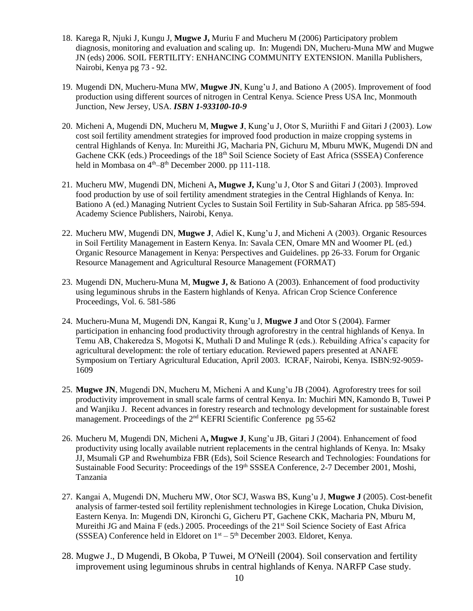- 18. Karega R, Njuki J, Kungu J, **Mugwe J,** Muriu F and Mucheru M (2006) Participatory problem diagnosis, monitoring and evaluation and scaling up. In: Mugendi DN, Mucheru-Muna MW and Mugwe JN (eds) 2006. SOIL FERTILITY: ENHANCING COMMUNITY EXTENSION. Manilla Publishers, Nairobi, Kenya pg 73 - 92.
- 19. Mugendi DN, Mucheru-Muna MW, **Mugwe JN**, Kung'u J, and Bationo A (2005). Improvement of food production using different sources of nitrogen in Central Kenya. Science Press USA Inc, Monmouth Junction, New Jersey, USA. *ISBN 1-933100-10-9*
- 20. Micheni A, Mugendi DN, Mucheru M, **Mugwe J**, Kung'u J, Otor S, Muriithi F and Gitari J (2003). Low cost soil fertility amendment strategies for improved food production in maize cropping systems in central Highlands of Kenya. In: Mureithi JG, Macharia PN, Gichuru M, Mburu MWK, Mugendi DN and Gachene CKK (eds.) Proceedings of the 18<sup>th</sup> Soil Science Society of East Africa (SSSEA) Conference held in Mombasa on 4<sup>th</sup>–8<sup>th</sup> December 2000. pp 111-118.
- 21. Mucheru MW, Mugendi DN, Micheni A**, Mugwe J,** Kung'u J, Otor S and Gitari J (2003). Improved food production by use of soil fertility amendment strategies in the Central Highlands of Kenya. In: Bationo A (ed.) Managing Nutrient Cycles to Sustain Soil Fertility in Sub-Saharan Africa. pp 585-594. Academy Science Publishers, Nairobi, Kenya.
- 22. Mucheru MW, Mugendi DN, **Mugwe J**, Adiel K, Kung'u J, and Micheni A (2003). Organic Resources in Soil Fertility Management in Eastern Kenya. In: Savala CEN, Omare MN and Woomer PL (ed.) Organic Resource Management in Kenya: Perspectives and Guidelines. pp 26-33. Forum for Organic Resource Management and Agricultural Resource Management (FORMAT)
- 23. Mugendi DN, Mucheru-Muna M, **Mugwe J,** & Bationo A (2003). Enhancement of food productivity using leguminous shrubs in the Eastern highlands of Kenya. African Crop Science Conference Proceedings, Vol. 6. 581-586
- 24. Mucheru-Muna M, Mugendi DN, Kangai R, Kung'u J, **Mugwe J** and Otor S (2004). Farmer participation in enhancing food productivity through agroforestry in the central highlands of Kenya. In Temu AB, Chakeredza S, Mogotsi K, Muthali D and Mulinge R (eds.). Rebuilding Africa's capacity for agricultural development: the role of tertiary education. Reviewed papers presented at ANAFE Symposium on Tertiary Agricultural Education, April 2003. ICRAF, Nairobi, Kenya. ISBN:92-9059- 1609
- 25. **Mugwe JN**, Mugendi DN, Mucheru M, Micheni A and Kung'u JB (2004). Agroforestry trees for soil productivity improvement in small scale farms of central Kenya. In: Muchiri MN, Kamondo B, Tuwei P and Wanjiku J. Recent advances in forestry research and technology development for sustainable forest management. Proceedings of the 2<sup>nd</sup> KEFRI Scientific Conference pg 55-62
- 26. Mucheru M, Mugendi DN, Micheni A**, Mugwe J**, Kung'u JB, Gitari J (2004). Enhancement of food productivity using locally available nutrient replacements in the central highlands of Kenya. In: Msaky JJ, Msumali GP and Rwehumbiza FBR (Eds), Soil Science Research and Technologies: Foundations for Sustainable Food Security: Proceedings of the 19<sup>th</sup> SSSEA Conference, 2-7 December 2001, Moshi, Tanzania
- 27. Kangai A, Mugendi DN, Mucheru MW, Otor SCJ, Waswa BS, Kung'u J, **Mugwe J** (2005). Cost-benefit analysis of farmer-tested soil fertility replenishment technologies in Kirege Location, Chuka Division, Eastern Kenya. In: Mugendi DN, Kironchi G, Gicheru PT, Gachene CKK, Macharia PN, Mburu M, Mureithi JG and Maina F (eds.) 2005. Proceedings of the 21<sup>st</sup> Soil Science Society of East Africa (SSSEA) Conference held in Eldoret on  $1<sup>st</sup> - 5<sup>th</sup>$  December 2003. Eldoret, Kenya.
- 28. Mugwe J., D Mugendi, B Okoba, P Tuwei, M O'Neill (2004). Soil conservation and fertility improvement using leguminous shrubs in central highlands of Kenya. NARFP Case study.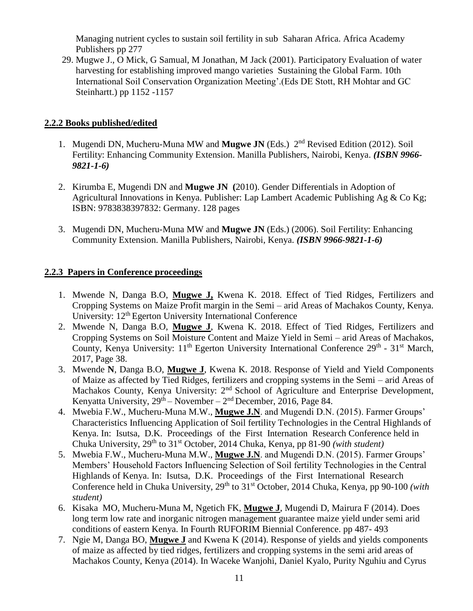Managing nutrient cycles to sustain soil fertility in sub Saharan Africa. Africa Academy Publishers pp 277

29. Mugwe J., O Mick, G Samual, M Jonathan, M Jack (2001). Participatory Evaluation of water harvesting for establishing improved mango varieties Sustaining the Global Farm. 10th International Soil Conservation Organization Meeting'.(Eds DE Stott, RH Mohtar and GC Steinhartt.) pp 1152 -1157

## **2.2.2 Books published/edited**

- 1. Mugendi DN, Mucheru-Muna MW and **Mugwe JN** (Eds.) 2nd Revised Edition (2012). Soil Fertility: Enhancing Community Extension. Manilla Publishers, Nairobi, Kenya. *(ISBN 9966- 9821-1-6)*
- 2. Kirumba E, Mugendi DN and **Mugwe JN (**2010). Gender Differentials in Adoption of Agricultural Innovations in Kenya. Publisher: Lap Lambert Academic Publishing Ag & Co Kg; ISBN: 9783838397832: Germany. 128 pages
- 3. Mugendi DN, Mucheru-Muna MW and **Mugwe JN** (Eds.) (2006). Soil Fertility: Enhancing Community Extension. Manilla Publishers, Nairobi, Kenya. *(ISBN 9966-9821-1-6)*

### **2.2.3 Papers in Conference proceedings**

- 1. Mwende N, Danga B.O, **Mugwe J,** Kwena K. 2018. Effect of Tied Ridges, Fertilizers and Cropping Systems on Maize Profit margin in the Semi – arid Areas of Machakos County, Kenya. University: 12<sup>th</sup> Egerton University International Conference
- 2. Mwende N, Danga B.O, **Mugwe J**, Kwena K. 2018. Effect of Tied Ridges, Fertilizers and Cropping Systems on Soil Moisture Content and Maize Yield in Semi – arid Areas of Machakos, County, Kenya University: 11<sup>th</sup> Egerton University International Conference 29<sup>th</sup> - 31<sup>st</sup> March, 2017, Page 38.
- 3. Mwende **N**, Danga B.O, **Mugwe J**, Kwena K. 2018. Response of Yield and Yield Components of Maize as affected by Tied Ridges, fertilizers and cropping systems in the Semi – arid Areas of Machakos County, Kenya University: 2<sup>nd</sup> School of Agriculture and Enterprise Development, Kenyatta University,  $29<sup>th</sup>$  – November –  $2<sup>nd</sup>$  December, 2016, Page 84.
- 4. Mwebia F.W., Mucheru-Muna M.W., **Mugwe J.N**. and Mugendi D.N. (2015). Farmer Groups' Characteristics Influencing Application of Soil fertility Technologies in the Central Highlands of Kenya. In: Isutsa, D.K. Proceedings of the First Internation Research Conference held in Chuka University, 29th to 31st October, 2014 Chuka, Kenya, pp 81-90 *(with student)*
- 5. Mwebia F.W., Mucheru-Muna M.W., **Mugwe J.N**. and Mugendi D.N. (2015). Farmer Groups' Members' Household Factors Influencing Selection of Soil fertility Technologies in the Central Highlands of Kenya. In: Isutsa, D.K. Proceedings of the First International Research Conference held in Chuka University, 29<sup>th</sup> to 31<sup>st</sup> October, 2014 Chuka, Kenya, pp 90-100 *(with student)*
- 6. Kisaka MO, Mucheru-Muna M, Ngetich FK, **Mugwe J**, Mugendi D, Mairura F (2014). Does long term low rate and inorganic nitrogen management guarantee maize yield under semi arid conditions of eastern Kenya. In Fourth RUFORIM Biennial Conference. pp 487- 493
- 7. Ngie M, Danga BO, **Mugwe J** and Kwena K (2014). Response of yields and yields components of maize as affected by tied ridges, fertilizers and cropping systems in the semi arid areas of Machakos County, Kenya (2014). In Waceke Wanjohi, Daniel Kyalo, Purity Nguhiu and Cyrus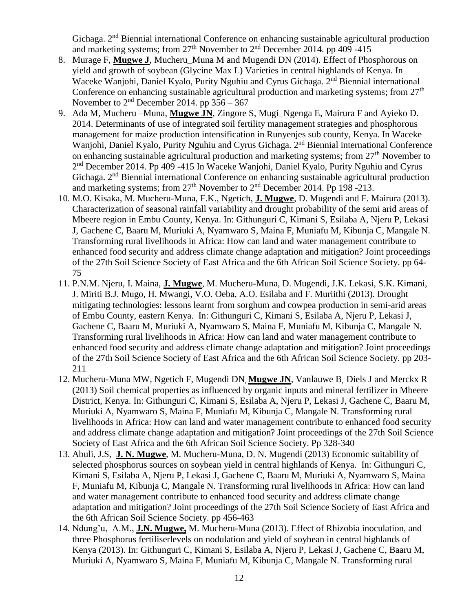Gichaga. 2nd Biennial international Conference on enhancing sustainable agricultural production and marketing systems; from  $27<sup>th</sup>$  November to  $2<sup>nd</sup>$  December 2014. pp 409 -415

- 8. Murage F, **Mugwe J**, Mucheru\_Muna M and Mugendi DN (2014). Effect of Phosphorous on yield and growth of soybean (Glycine Max L) Varieties in central highlands of Kenya. In Waceke Wanjohi, Daniel Kyalo, Purity Nguhiu and Cyrus Gichaga. 2<sup>nd</sup> Biennial international Conference on enhancing sustainable agricultural production and marketing systems; from  $27<sup>th</sup>$ November to  $2<sup>nd</sup>$  December 2014. pp 356 – 367
- 9. Ada M, Mucheru –Muna, **Mugwe JN**, Zingore S, Mugi\_Ngenga E, Mairura F and Ayieko D. 2014. Determinants of use of integrated soil fertility management strategies and phosphorous management for maize production intensification in Runyenjes sub county, Kenya. In Waceke Wanjohi, Daniel Kyalo, Purity Nguhiu and Cyrus Gichaga. 2<sup>nd</sup> Biennial international Conference on enhancing sustainable agricultural production and marketing systems; from  $27<sup>th</sup>$  November to 2<sup>nd</sup> December 2014. Pp 409 -415 In Waceke Wanjohi, Daniel Kyalo, Purity Nguhiu and Cyrus Gichaga. 2nd Biennial international Conference on enhancing sustainable agricultural production and marketing systems; from  $27<sup>th</sup>$  November to  $2<sup>nd</sup>$  December 2014. Pp 198 -213.
- 10. M.O. Kisaka, M. Mucheru-Muna, F.K., Ngetich, **J. Mugwe**, D. Mugendi and F. Mairura (2013). Characterization of seasonal rainfall variability and drought probability of the semi arid areas of Mbeere region in Embu County, Kenya. In: Githunguri C, Kimani S, Esilaba A, Njeru P, Lekasi J, Gachene C, Baaru M, Muriuki A, Nyamwaro S, Maina F, Muniafu M, Kibunja C, Mangale N. Transforming rural livelihoods in Africa: How can land and water management contribute to enhanced food security and address climate change adaptation and mitigation? Joint proceedings of the 27th Soil Science Society of East Africa and the 6th African Soil Science Society. pp 64- 75
- 11. P.N.M. Njeru, I. Maina, **J. Mugwe**, M. Mucheru-Muna, D. Mugendi, J.K. Lekasi, S.K. Kimani, J. Miriti B.J. Mugo, H. Mwangi, V.O. Oeba, A.O. Esilaba and F. Muriithi (2013). Drought mitigating technologies: lessons learnt from sorghum and cowpea production in semi-arid areas of Embu County, eastern Kenya. In: Githunguri C, Kimani S, Esilaba A, Njeru P, Lekasi J, Gachene C, Baaru M, Muriuki A, Nyamwaro S, Maina F, Muniafu M, Kibunja C, Mangale N. Transforming rural livelihoods in Africa: How can land and water management contribute to enhanced food security and address climate change adaptation and mitigation? Joint proceedings of the 27th Soil Science Society of East Africa and the 6th African Soil Science Society. pp 203- 211
- 12. Mucheru-Muna MW, Ngetich F, Mugendi DN, **Mugwe JN**, Vanlauwe B, Diels J and Merckx R (2013) Soil chemical properties as influenced by organic inputs and mineral fertilizer in Mbeere District, Kenya. In: Githunguri C, Kimani S, Esilaba A, Njeru P, Lekasi J, Gachene C, Baaru M, Muriuki A, Nyamwaro S, Maina F, Muniafu M, Kibunja C, Mangale N. Transforming rural livelihoods in Africa: How can land and water management contribute to enhanced food security and address climate change adaptation and mitigation? Joint proceedings of the 27th Soil Science Society of East Africa and the 6th African Soil Science Society. Pp 328-340
- 13. Abuli, J.S, **J. N. Mugwe**, M. Mucheru-Muna, D. N. Mugendi (2013) Economic suitability of selected phosphorus sources on soybean yield in central highlands of Kenya. In: Githunguri C, Kimani S, Esilaba A, Njeru P, Lekasi J, Gachene C, Baaru M, Muriuki A, Nyamwaro S, Maina F, Muniafu M, Kibunja C, Mangale N. Transforming rural livelihoods in Africa: How can land and water management contribute to enhanced food security and address climate change adaptation and mitigation? Joint proceedings of the 27th Soil Science Society of East Africa and the 6th African Soil Science Society. pp 456-463
- 14. Ndung'u, A.M., **J.N. Mugwe,** M. Mucheru-Muna (2013). Effect of Rhizobia inoculation, and three Phosphorus fertiliserlevels on nodulation and yield of soybean in central highlands of Kenya (2013). In: Githunguri C, Kimani S, Esilaba A, Njeru P, Lekasi J, Gachene C, Baaru M, Muriuki A, Nyamwaro S, Maina F, Muniafu M, Kibunja C, Mangale N. Transforming rural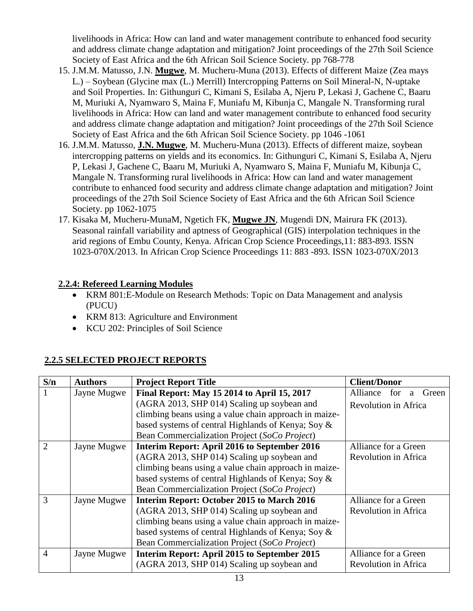livelihoods in Africa: How can land and water management contribute to enhanced food security and address climate change adaptation and mitigation? Joint proceedings of the 27th Soil Science Society of East Africa and the 6th African Soil Science Society. pp 768-778

- 15. J.M.M. Matusso, J.N. **Mugwe**, M. Mucheru-Muna (2013). Effects of different Maize (Zea mays L.) – Soybean (Glycine max (L.) Merrill) Intercropping Patterns on Soil Mineral-N, N-uptake and Soil Properties. In: Githunguri C, Kimani S, Esilaba A, Njeru P, Lekasi J, Gachene C, Baaru M, Muriuki A, Nyamwaro S, Maina F, Muniafu M, Kibunja C, Mangale N. Transforming rural livelihoods in Africa: How can land and water management contribute to enhanced food security and address climate change adaptation and mitigation? Joint proceedings of the 27th Soil Science Society of East Africa and the 6th African Soil Science Society. pp 1046 -1061
- 16. J.M.M. Matusso, **J.N. Mugwe**, M. Mucheru-Muna (2013). Effects of different maize, soybean intercropping patterns on yields and its economics. In: Githunguri C, Kimani S, Esilaba A, Njeru P, Lekasi J, Gachene C, Baaru M, Muriuki A, Nyamwaro S, Maina F, Muniafu M, Kibunja C, Mangale N. Transforming rural livelihoods in Africa: How can land and water management contribute to enhanced food security and address climate change adaptation and mitigation? Joint proceedings of the 27th Soil Science Society of East Africa and the 6th African Soil Science Society. pp 1062-1075
- 17. Kisaka M, Mucheru-MunaM, Ngetich FK, **Mugwe JN**, Mugendi DN, Mairura FK (2013). Seasonal rainfall variability and aptness of Geographical (GIS) interpolation techniques in the arid regions of Embu County, Kenya. African Crop Science Proceedings,11: 883-893. ISSN 1023-070X/2013. In African Crop Science Proceedings 11: 883 -893. ISSN 1023-070X/2013

## **2.2.4: Refereed Learning Modules**

- KRM 801:E-Module on Research Methods: Topic on Data Management and analysis (PUCU)
- KRM 813: Agriculture and Environment
- KCU 202: Principles of Soil Science

# **2.2.5 SELECTED PROJECT REPORTS**

| S/n            | <b>Authors</b> | <b>Project Report Title</b>                           | <b>Client/Donor</b>           |
|----------------|----------------|-------------------------------------------------------|-------------------------------|
|                | Jayne Mugwe    | Final Report: May 15 2014 to April 15, 2017           | Alliance<br>for<br>Green<br>a |
|                |                | (AGRA 2013, SHP 014) Scaling up soybean and           | Revolution in Africa          |
|                |                | climbing beans using a value chain approach in maize- |                               |
|                |                | based systems of central Highlands of Kenya; Soy &    |                               |
|                |                | Bean Commercialization Project (SoCo Project)         |                               |
|                | Jayne Mugwe    | Interim Report: April 2016 to September 2016          | Alliance for a Green          |
|                |                | (AGRA 2013, SHP 014) Scaling up soybean and           | Revolution in Africa          |
|                |                | climbing beans using a value chain approach in maize- |                               |
|                |                | based systems of central Highlands of Kenya; Soy &    |                               |
|                |                | Bean Commercialization Project (SoCo Project)         |                               |
| 3              | Jayne Mugwe    | Interim Report: October 2015 to March 2016            | Alliance for a Green          |
|                |                | (AGRA 2013, SHP 014) Scaling up soybean and           | Revolution in Africa          |
|                |                | climbing beans using a value chain approach in maize- |                               |
|                |                | based systems of central Highlands of Kenya; Soy &    |                               |
|                |                | Bean Commercialization Project (SoCo Project)         |                               |
| $\overline{4}$ | Jayne Mugwe    | Interim Report: April 2015 to September 2015          | Alliance for a Green          |
|                |                | (AGRA 2013, SHP 014) Scaling up soybean and           | Revolution in Africa          |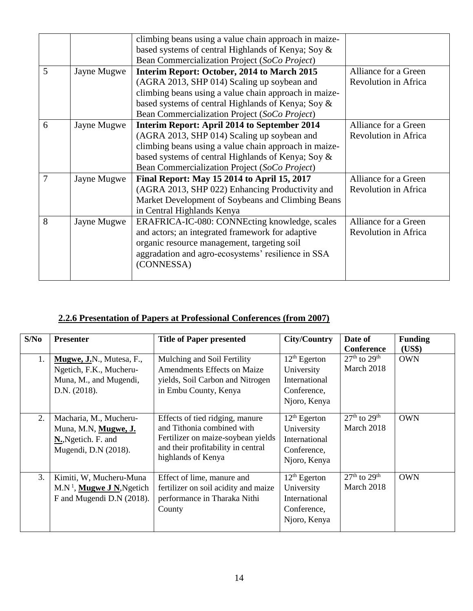|   |             | climbing beans using a value chain approach in maize- |                      |
|---|-------------|-------------------------------------------------------|----------------------|
|   |             | based systems of central Highlands of Kenya; Soy &    |                      |
|   |             | Bean Commercialization Project (SoCo Project)         |                      |
| 5 | Jayne Mugwe | Interim Report: October, 2014 to March 2015           | Alliance for a Green |
|   |             | (AGRA 2013, SHP 014) Scaling up soybean and           | Revolution in Africa |
|   |             | climbing beans using a value chain approach in maize- |                      |
|   |             | based systems of central Highlands of Kenya; Soy &    |                      |
|   |             | Bean Commercialization Project (SoCo Project)         |                      |
| 6 | Jayne Mugwe | Interim Report: April 2014 to September 2014          | Alliance for a Green |
|   |             | (AGRA 2013, SHP 014) Scaling up soybean and           | Revolution in Africa |
|   |             | climbing beans using a value chain approach in maize- |                      |
|   |             | based systems of central Highlands of Kenya; Soy &    |                      |
|   |             | Bean Commercialization Project (SoCo Project)         |                      |
| 7 | Jayne Mugwe | Final Report: May 15 2014 to April 15, 2017           | Alliance for a Green |
|   |             | (AGRA 2013, SHP 022) Enhancing Productivity and       | Revolution in Africa |
|   |             | Market Development of Soybeans and Climbing Beans     |                      |
|   |             | in Central Highlands Kenya                            |                      |
| 8 | Jayne Mugwe | ERAFRICA-IC-080: CONNEcting knowledge, scales         | Alliance for a Green |
|   |             | and actors; an integrated framework for adaptive      | Revolution in Africa |
|   |             | organic resource management, targeting soil           |                      |
|   |             | aggradation and agro-ecosystems' resilience in SSA    |                      |
|   |             | (CONNESSA)                                            |                      |
|   |             |                                                       |                      |

# **2.2.6 Presentation of Papers at Professional Conferences (from 2007)**

| S/No | <b>Presenter</b>                                                                              | <b>Title of Paper presented</b>                                                                                                                                 | <b>City/Country</b>                                                          | Date of<br><b>Conference</b>                                    | <b>Funding</b><br>(US\$) |
|------|-----------------------------------------------------------------------------------------------|-----------------------------------------------------------------------------------------------------------------------------------------------------------------|------------------------------------------------------------------------------|-----------------------------------------------------------------|--------------------------|
| 1.   | Mugwe, J.N., Mutesa, F.,<br>Ngetich, F.K., Mucheru-<br>Muna, M., and Mugendi,<br>D.N. (2018). | Mulching and Soil Fertility<br><b>Amendments Effects on Maize</b><br>yields, Soil Carbon and Nitrogen<br>in Embu County, Kenya                                  | $12th$ Egerton<br>University<br>International<br>Conference,<br>Njoro, Kenya | $27th$ to $29th$<br>March 2018                                  | <b>OWN</b>               |
| 2.   | Macharia, M., Mucheru-<br>Muna, M.N, Mugwe, J.<br>N., Ngetich. F. and<br>Mugendi, D.N (2018). | Effects of tied ridging, manure<br>and Tithonia combined with<br>Fertilizer on maize-soybean yields<br>and their profitability in central<br>highlands of Kenya | $12th$ Egerton<br>University<br>International<br>Conference,<br>Njoro, Kenya | $\overline{27}$ <sup>th</sup> to 29 <sup>th</sup><br>March 2018 | <b>OWN</b>               |
| 3.   | Kimiti, W, Mucheru-Muna<br>$M.N1$ , Mugwe J N, Ngetich<br>F and Mugendi D.N (2018).           | Effect of lime, manure and<br>fertilizer on soil acidity and maize<br>performance in Tharaka Nithi<br>County                                                    | $12th$ Egerton<br>University<br>International<br>Conference,<br>Njoro, Kenya | $27th$ to $29th$<br>March 2018                                  | <b>OWN</b>               |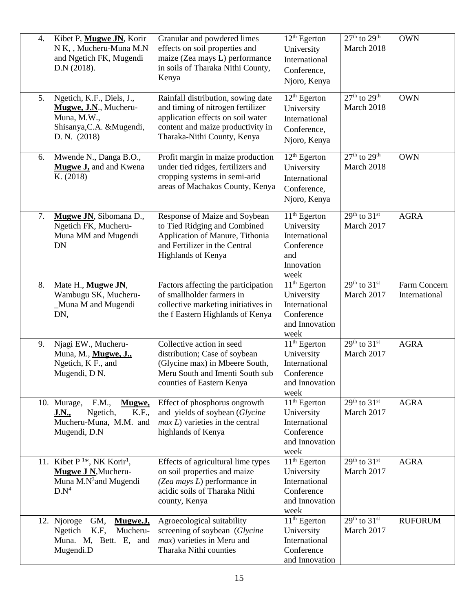| 4.  | Kibet P, Mugwe JN, Korir<br>N K,, Mucheru-Muna M.N<br>and Ngetich FK, Mugendi<br>D.N (2018).                                 | Granular and powdered limes<br>effects on soil properties and<br>maize (Zea mays L) performance<br>in soils of Tharaka Nithi County,<br>Kenya                                    | 12 <sup>th</sup> Egerton<br>University<br>International<br>Conference,<br>Njoro, Kenya   | $27th$ to $29th$<br>March 2018       | <b>OWN</b>                    |
|-----|------------------------------------------------------------------------------------------------------------------------------|----------------------------------------------------------------------------------------------------------------------------------------------------------------------------------|------------------------------------------------------------------------------------------|--------------------------------------|-------------------------------|
| 5.  | Ngetich, K.F., Diels, J.,<br>Mugwe, J.N., Mucheru-<br>Muna, M.W.,<br>Shisanya, C.A. & Mugendi,<br>D. N. (2018)               | Rainfall distribution, sowing date<br>and timing of nitrogen fertilizer<br>application effects on soil water<br>content and maize productivity in<br>Tharaka-Nithi County, Kenya | $12th$ Egerton<br>University<br>International<br>Conference,<br>Njoro, Kenya             | $27th$ to $29th$<br>March 2018       | <b>OWN</b>                    |
| 6.  | Mwende N., Danga B.O.,<br><b>Mugwe J</b> , and and Kwena<br>K. (2018)                                                        | Profit margin in maize production<br>under tied ridges, fertilizers and<br>cropping systems in semi-arid<br>areas of Machakos County, Kenya                                      | $12th$ Egerton<br>University<br>International<br>Conference,<br>Njoro, Kenya             | $27th$ to $29th$<br>March 2018       | <b>OWN</b>                    |
| 7.  | Mugwe JN, Sibomana D.,<br>Ngetich FK, Mucheru-<br>Muna MM and Mugendi<br><b>DN</b>                                           | Response of Maize and Soybean<br>to Tied Ridging and Combined<br>Application of Manure, Tithonia<br>and Fertilizer in the Central<br>Highlands of Kenya                          | $11th$ Egerton<br>University<br>International<br>Conference<br>and<br>Innovation<br>week | $29th$ to $31st$<br>March 2017       | <b>AGRA</b>                   |
| 8.  | Mate H., Mugwe JN,<br>Wambugu SK, Mucheru-<br>Muna M and Mugendi<br>DN,                                                      | Factors affecting the participation<br>of smallholder farmers in<br>collective marketing initiatives in<br>the f Eastern Highlands of Kenya                                      | $11th$ Egerton<br>University<br>International<br>Conference<br>and Innovation<br>week    | $29th$ to $31st$<br>March 2017       | Farm Concern<br>International |
| 9.  | Njagi EW., Mucheru-<br>Muna, M., Mugwe, J.,<br>Ngetich, K F., and<br>Mugendi, D N.                                           | Collective action in seed<br>distribution; Case of soybean<br>(Glycine max) in Mbeere South,<br>Meru South and Imenti South sub<br>counties of Eastern Kenya                     | $11th$ Egerton<br>University<br>International<br>Conference<br>and Innovation<br>week    | $29^{th}$ to $31^{st}$<br>March 2017 | <b>AGRA</b>                   |
|     | 10. Murage,<br>F.M.,<br>Mugwe,<br>Ngetich,<br>K.F.,<br><u>J.N.,</u><br>Mucheru-Muna, M.M. and<br>Mugendi, D.N                | Effect of phosphorus ongrowth<br>and yields of soybean (Glycine<br>$max L$ ) varieties in the central<br>highlands of Kenya                                                      | $11th$ Egerton<br>University<br>International<br>Conference<br>and Innovation<br>week    | $29th$ to $31st$<br>March 2017       | <b>AGRA</b>                   |
|     | 11. Kibet $P^{1*}$ , NK Korir <sup>1</sup> ,<br>Mugwe J N, Mucheru-<br>Muna M.N <sup>3</sup> and Mugendi<br>D.N <sup>4</sup> | Effects of agricultural lime types<br>on soil properties and maize<br>(Zea mays L) performance in<br>acidic soils of Tharaka Nithi<br>county, Kenya                              | $11th$ Egerton<br>University<br>International<br>Conference<br>and Innovation<br>week    | $29th$ to $31st$<br>March 2017       | <b>AGRA</b>                   |
| 12. | GM,<br>Mugwe.J,<br>Njoroge<br>K.F,<br>Mucheru-<br>Ngetich<br>Muna. M, Bett. E, and<br>Mugendi.D                              | Agroecological suitability<br>screening of soybean (Glycine<br><i>max</i> ) varieties in Meru and<br>Tharaka Nithi counties                                                      | $11th$ Egerton<br>University<br>International<br>Conference<br>and Innovation            | $29th$ to $31st$<br>March 2017       | <b>RUFORUM</b>                |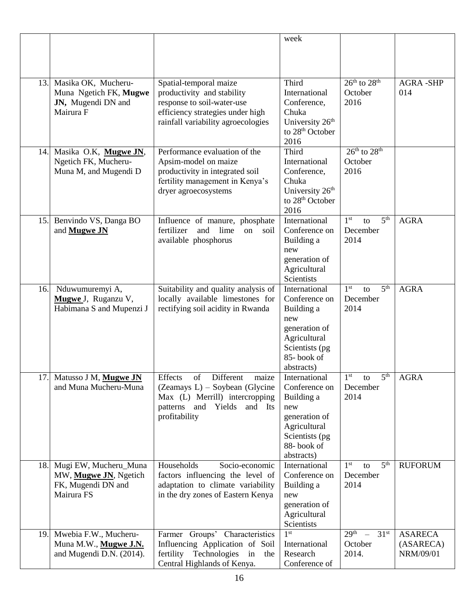|     |                                              |                                                                    | week                                 |                                          |                 |
|-----|----------------------------------------------|--------------------------------------------------------------------|--------------------------------------|------------------------------------------|-----------------|
|     |                                              |                                                                    |                                      |                                          |                 |
|     |                                              |                                                                    |                                      |                                          |                 |
|     |                                              |                                                                    |                                      |                                          |                 |
| 13. | Masika OK, Mucheru-                          | Spatial-temporal maize                                             | Third                                | $26th$ to $28th$                         | <b>AGRA-SHP</b> |
|     | Muna Ngetich FK, Mugwe<br>JN, Mugendi DN and | productivity and stability<br>response to soil-water-use           | International<br>Conference,         | October<br>2016                          | 014             |
|     | Mairura F                                    | efficiency strategies under high                                   | Chuka                                |                                          |                 |
|     |                                              | rainfall variability agroecologies                                 | University 26 <sup>th</sup>          |                                          |                 |
|     |                                              |                                                                    | to 28 <sup>th</sup> October          |                                          |                 |
|     |                                              |                                                                    | 2016                                 |                                          |                 |
| 14. | Masika O.K, Mugwe JN,                        | Performance evaluation of the                                      | Third                                | $26th$ to $28th$                         |                 |
|     | Ngetich FK, Mucheru-                         | Apsim-model on maize                                               | International                        | October                                  |                 |
|     | Muna M, and Mugendi D                        | productivity in integrated soil                                    | Conference,                          | 2016                                     |                 |
|     |                                              | fertility management in Kenya's<br>dryer agroecosystems            | Chuka<br>University 26 <sup>th</sup> |                                          |                 |
|     |                                              |                                                                    | to 28 <sup>th</sup> October          |                                          |                 |
|     |                                              |                                                                    | 2016                                 |                                          |                 |
| 15. | Benvindo VS, Danga BO                        | Influence of manure, phosphate                                     | International                        | 5 <sup>th</sup><br>1 <sup>st</sup><br>to | <b>AGRA</b>     |
|     | and <b>Mugwe JN</b>                          | lime<br>fertilizer<br>and<br>on<br>soil                            | Conference on                        | December                                 |                 |
|     |                                              | available phosphorus                                               | Building a                           | 2014                                     |                 |
|     |                                              |                                                                    | new<br>generation of                 |                                          |                 |
|     |                                              |                                                                    | Agricultural                         |                                          |                 |
|     |                                              |                                                                    | Scientists                           |                                          |                 |
| 16. | Nduwumuremyi A,                              | Suitability and quality analysis of                                | International                        | 5 <sup>th</sup><br>1 <sup>st</sup><br>to | <b>AGRA</b>     |
|     | Mugwe J, Ruganzu V,                          | locally available limestones for                                   | Conference on                        | December                                 |                 |
|     | Habimana S and Mupenzi J                     | rectifying soil acidity in Rwanda                                  | Building a                           | 2014                                     |                 |
|     |                                              |                                                                    | new<br>generation of                 |                                          |                 |
|     |                                              |                                                                    | Agricultural                         |                                          |                 |
|     |                                              |                                                                    | Scientists (pg)                      |                                          |                 |
|     |                                              |                                                                    | 85-book of                           |                                          |                 |
|     |                                              |                                                                    | abstracts)                           |                                          |                 |
| 17. | Matusso J M, Mugwe JN                        | Effects<br>Different<br>maize<br>of                                | International                        | 1 <sup>st</sup><br>5th<br>to             | <b>AGRA</b>     |
|     | and Muna Mucheru-Muna                        | $(Zeamays L) - Soybean$ (Glycine<br>Max (L) Merrill) intercropping | Conference on                        | December<br>2014                         |                 |
|     |                                              | patterns and Yields and Its                                        | Building a<br>new                    |                                          |                 |
|     |                                              | profitability                                                      | generation of                        |                                          |                 |
|     |                                              |                                                                    | Agricultural                         |                                          |                 |
|     |                                              |                                                                    | Scientists (pg                       |                                          |                 |
|     |                                              |                                                                    | 88-book of                           |                                          |                 |
| 18. | Mugi EW, Mucheru_Muna                        | Households<br>Socio-economic                                       | abstracts)<br>International          | 5 <sup>th</sup><br>1 <sup>st</sup><br>to | <b>RUFORUM</b>  |
|     | MW, Mugwe JN, Ngetich                        | factors influencing the level of                                   | Conference on                        | December                                 |                 |
|     | FK, Mugendi DN and                           | adaptation to climate variability                                  | Building a                           | 2014                                     |                 |
|     | Mairura FS                                   | in the dry zones of Eastern Kenya                                  | new                                  |                                          |                 |
|     |                                              |                                                                    | generation of                        |                                          |                 |
|     |                                              |                                                                    | Agricultural                         |                                          |                 |
| 19. | Mwebia F.W., Mucheru-                        | Farmer Groups' Characteristics                                     | Scientists<br>1 <sup>st</sup>        | $29th$ –<br>31 <sup>st</sup>             | <b>ASARECA</b>  |
|     | Muna M.W., Mugwe J.N.                        | Influencing Application of Soil                                    | International                        | October                                  | (ASARECA)       |
|     | and Mugendi D.N. (2014).                     | fertility Technologies in the                                      | Research                             | 2014.                                    | NRM/09/01       |
|     |                                              | Central Highlands of Kenya.                                        | Conference of                        |                                          |                 |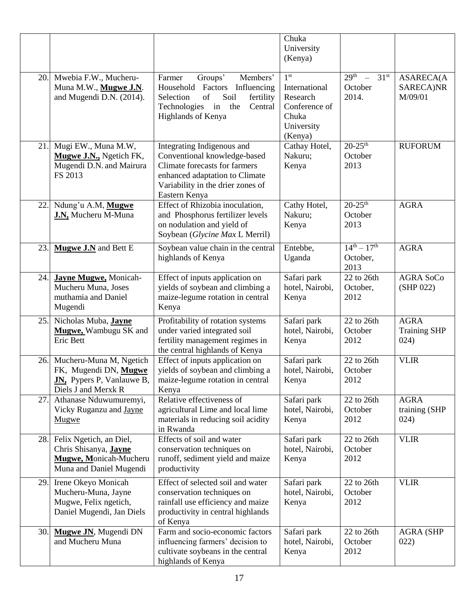|     |                                                                                                              |                                                                                                                                                                                     | Chuka<br>University<br>(Kenya)                                                                  |                                                                      |                                            |
|-----|--------------------------------------------------------------------------------------------------------------|-------------------------------------------------------------------------------------------------------------------------------------------------------------------------------------|-------------------------------------------------------------------------------------------------|----------------------------------------------------------------------|--------------------------------------------|
| 20. | Mwebia F.W., Mucheru-<br>Muna M.W., Mugwe J.N.<br>and Mugendi D.N. (2014).                                   | Groups'<br>Farmer<br>Members'<br>Household Factors Influencing<br>of<br>Selection<br>Soil<br>fertility<br>Technologies<br>in<br>the<br>Central<br>Highlands of Kenya                | 1 <sup>st</sup><br>International<br>Research<br>Conference of<br>Chuka<br>University<br>(Kenya) | 29 <sup>th</sup><br>31 <sup>st</sup><br>$\equiv$<br>October<br>2014. | <b>ASARECA(A</b><br>SARECA)NR<br>M/09/01   |
| 21. | Mugi EW., Muna M.W,<br>Mugwe J.N., Ngetich FK,<br>Mugendi D.N. and Mairura<br>FS 2013                        | Integrating Indigenous and<br>Conventional knowledge-based<br>Climate forecasts for farmers<br>enhanced adaptation to Climate<br>Variability in the drier zones of<br>Eastern Kenya | Cathay Hotel,<br>Nakuru;<br>Kenya                                                               | $20 - 25$ <sup>th</sup><br>October<br>2013                           | <b>RUFORUM</b>                             |
| 22. | Ndung'u A.M, Mugwe<br>J.N, Mucheru M-Muna                                                                    | Effect of Rhizobia inoculation,<br>and Phosphorus fertilizer levels<br>on nodulation and yield of<br>Soybean (Glycine Max L Merril)                                                 | Cathy Hotel,<br>Nakuru;<br>Kenya                                                                | $20 - 25$ <sup>th</sup><br>October<br>2013                           | <b>AGRA</b>                                |
| 23. | Mugwe J.N and Bett E                                                                                         | Soybean value chain in the central<br>highlands of Kenya                                                                                                                            | Entebbe,<br>Uganda                                                                              | $14^{th} - 17^{th}$<br>October,<br>2013                              | <b>AGRA</b>                                |
| 24. | <b>Jayne Mugwe, Monicah-</b><br>Mucheru Muna, Joses<br>muthamia and Daniel<br>Mugendi                        | Effect of inputs application on<br>yields of soybean and climbing a<br>maize-legume rotation in central<br>Kenya                                                                    | Safari park<br>hotel, Nairobi,<br>Kenya                                                         | 22 to 26th<br>October,<br>2012                                       | <b>AGRA SoCo</b><br>(SHP 022)              |
| 25. | Nicholas Muba, Jayne<br>Mugwe, Wambugu SK and<br><b>Eric Bett</b>                                            | Profitability of rotation systems<br>under varied integrated soil<br>fertility management regimes in<br>the central highlands of Kenya                                              | Safari park<br>hotel, Nairobi,<br>Kenya                                                         | 22 to 26th<br>October<br>2012                                        | <b>AGRA</b><br><b>Training SHP</b><br>024) |
| 26. | Mucheru-Muna M, Ngetich<br>FK, Mugendi DN, Mugwe<br><b>JN,</b> Pypers P, Vanlauwe B,<br>Diels J and Merxk R  | Effect of inputs application on<br>vields of soybean and climbing a<br>maize-legume rotation in central<br>Kenya                                                                    | Safari park<br>hotel, Nairobi,<br>Kenya                                                         | 22 to 26th<br>October<br>2012                                        | <b>VLIR</b>                                |
| 27. | Athanase Nduwumuremyi,<br>Vicky Ruganzu and Jayne<br>Mugwe                                                   | Relative effectiveness of<br>agricultural Lime and local lime<br>materials in reducing soil acidity<br>in Rwanda                                                                    | Safari park<br>hotel, Nairobi,<br>Kenya                                                         | 22 to 26th<br>October<br>2012                                        | <b>AGRA</b><br>training (SHP<br>024)       |
| 28. | Felix Ngetich, an Diel,<br>Chris Shisanya, <b>Jayne</b><br>Mugwe, Monicah-Mucheru<br>Muna and Daniel Mugendi | Effects of soil and water<br>conservation techniques on<br>runoff, sediment yield and maize<br>productivity                                                                         | Safari park<br>hotel, Nairobi,<br>Kenya                                                         | 22 to 26th<br>October<br>2012                                        | <b>VLIR</b>                                |
| 29. | Irene Okeyo Monicah<br>Mucheru-Muna, Jayne<br>Mugwe, Felix ngetich,<br>Daniel Mugendi, Jan Diels             | Effect of selected soil and water<br>conservation techniques on<br>rainfall use efficiency and maize<br>productivity in central highlands<br>of Kenya                               | Safari park<br>hotel, Nairobi,<br>Kenya                                                         | 22 to 26th<br>October<br>2012                                        | <b>VLIR</b>                                |
| 30. | Mugwe JN, Mugendi DN<br>and Mucheru Muna                                                                     | Farm and socio-economic factors<br>influencing farmers' decision to<br>cultivate soybeans in the central<br>highlands of Kenya                                                      | Safari park<br>hotel, Nairobi,<br>Kenya                                                         | 22 to 26th<br>October<br>2012                                        | <b>AGRA (SHP</b><br>022)                   |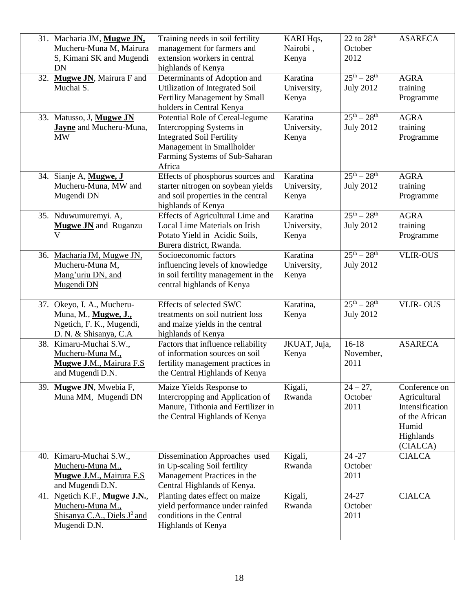| 31. | Macharia JM, Mugwe JN,                        | Training needs in soil fertility                                        | KARI Hqs,         | $22$ to $28th$      | <b>ASARECA</b>                  |
|-----|-----------------------------------------------|-------------------------------------------------------------------------|-------------------|---------------------|---------------------------------|
|     | Mucheru-Muna M, Mairura                       | management for farmers and                                              | Nairobi,          | October             |                                 |
|     | S, Kimani SK and Mugendi<br><b>DN</b>         | extension workers in central                                            | Kenya             | 2012                |                                 |
| 32. | Mugwe JN, Mairura F and                       | highlands of Kenya<br>Determinants of Adoption and                      | Karatina          | $25th - 28th$       | <b>AGRA</b>                     |
|     | Muchai S.                                     | Utilization of Integrated Soil                                          | University,       | <b>July 2012</b>    | training                        |
|     |                                               | Fertility Management by Small                                           | Kenya             |                     | Programme                       |
|     |                                               | holders in Central Kenya                                                |                   |                     |                                 |
| 33. | Matusso, J, Mugwe JN                          | Potential Role of Cereal-legume                                         | Karatina          | $25^{th} - 28^{th}$ | <b>AGRA</b>                     |
|     | <b>Jayne</b> and Mucheru-Muna,                | Intercropping Systems in                                                | University,       | <b>July 2012</b>    | training                        |
|     | <b>MW</b>                                     | <b>Integrated Soil Fertility</b>                                        | Kenya             |                     | Programme                       |
|     |                                               | Management in Smallholder                                               |                   |                     |                                 |
|     |                                               | Farming Systems of Sub-Saharan                                          |                   |                     |                                 |
| 34. |                                               | Africa                                                                  | Karatina          | $25th - 28th$       | <b>AGRA</b>                     |
|     | Sianje A, Mugwe, J<br>Mucheru-Muna, MW and    | Effects of phosphorus sources and<br>starter nitrogen on soybean yields | University,       | <b>July 2012</b>    | training                        |
|     | Mugendi DN                                    | and soil properties in the central                                      | Kenya             |                     | Programme                       |
|     |                                               | highlands of Kenya                                                      |                   |                     |                                 |
| 35. | Nduwumuremyi. A,                              | Effects of Agricultural Lime and                                        | Karatina          | $25^{th} - 28^{th}$ | <b>AGRA</b>                     |
|     | <b>Mugwe JN</b> and Ruganzu                   | Local Lime Materials on Irish                                           | University,       | <b>July 2012</b>    | training                        |
|     | $\overline{\mathsf{V}}$                       | Potato Yield in Acidic Soils,                                           | Kenya             |                     | Programme                       |
|     |                                               | Burera district, Rwanda.                                                |                   |                     |                                 |
| 36. | Macharia JM, Mugwe JN,                        | Socioeconomic factors                                                   | Karatina          | $25^{th} - 28^{th}$ | <b>VLIR-OUS</b>                 |
|     | Mucheru-Muna M,                               | influencing levels of knowledge                                         | University,       | <b>July 2012</b>    |                                 |
|     | Mang'uriu DN, and<br>Mugendi DN               | in soil fertility management in the<br>central highlands of Kenya       | Kenya             |                     |                                 |
|     |                                               |                                                                         |                   |                     |                                 |
| 37. | Okeyo, I. A., Mucheru-                        | Effects of selected SWC                                                 | Karatina,         | $25^{th} - 28^{th}$ | <b>VLIR-OUS</b>                 |
|     | Muna, M., Mugwe, J.,                          | treatments on soil nutrient loss                                        | Kenya             | <b>July 2012</b>    |                                 |
|     | Ngetich, F. K., Mugendi,                      | and maize yields in the central                                         |                   |                     |                                 |
|     | D. N. & Shisanya, C.A                         | highlands of Kenya                                                      |                   |                     |                                 |
| 38. | Kimaru-Muchai S.W.,                           | Factors that influence reliability                                      | JKUAT, Juja,      | $16-18$             | <b>ASARECA</b>                  |
|     | Mucheru-Muna M.,                              | of information sources on soil                                          | Kenya             | November,           |                                 |
|     | Mugwe J.M., Mairura F.S<br>and Mugendi D.N.   | fertility management practices in<br>the Central Highlands of Kenya     |                   | 2011                |                                 |
|     |                                               |                                                                         |                   |                     |                                 |
| 39. | Mugwe JN, Mwebia F,                           | Maize Yields Response to                                                | Kigali,           | $24 - 27$ ,         | Conference on                   |
|     | Muna MM, Mugendi DN                           | Intercropping and Application of<br>Manure, Tithonia and Fertilizer in  | Rwanda            | October<br>2011     | Agricultural<br>Intensification |
|     |                                               | the Central Highlands of Kenya                                          |                   |                     | of the African                  |
|     |                                               |                                                                         |                   |                     | Humid                           |
|     |                                               |                                                                         |                   |                     | Highlands                       |
|     |                                               |                                                                         |                   |                     | (CIALCA)                        |
| 40. | Kimaru-Muchai S.W.,                           | Dissemination Approaches used                                           | Kigali,           | $24 - 27$           | <b>CIALCA</b>                   |
|     | Mucheru-Muna M.,                              | in Up-scaling Soil fertility                                            | Rwanda            | October             |                                 |
|     | Mugwe J.M., Mairura F.S                       | Management Practices in the                                             |                   | 2011                |                                 |
|     | and Mugendi D.N.                              | Central Highlands of Kenya.                                             |                   |                     |                                 |
| 41. | Ngetich K.F., Mugwe J.N.,<br>Mucheru-Muna M., | Planting dates effect on maize<br>yield performance under rainfed       | Kigali,<br>Rwanda | 24-27<br>October    | <b>CIALCA</b>                   |
|     | Shisanya C.A., Diels J <sup>2</sup> and       | conditions in the Central                                               |                   | 2011                |                                 |
|     | Mugendi D.N.                                  | Highlands of Kenya                                                      |                   |                     |                                 |
|     |                                               |                                                                         |                   |                     |                                 |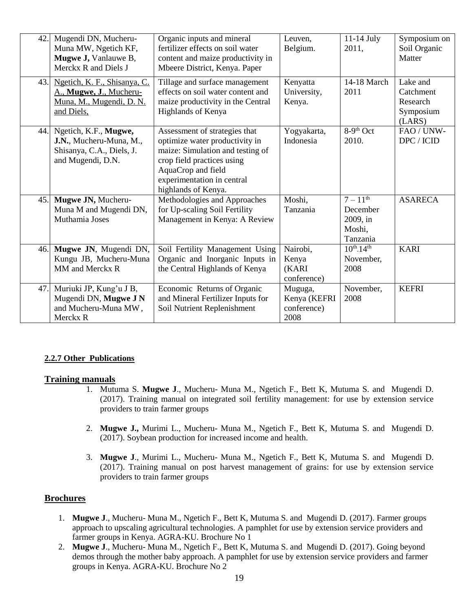| 42. | Mugendi DN, Mucheru-<br>Muna MW, Ngetich KF,<br>Mugwe J, Vanlauwe B,<br>Merckx R and Diels J           | Organic inputs and mineral<br>fertilizer effects on soil water<br>content and maize productivity in<br>Mbeere District, Kenya. Paper                                                                         | Leuven,<br>Belgium.                            | $11-14$ July<br>2011.                                                  | Symposium on<br>Soil Organic<br>Matter                   |
|-----|--------------------------------------------------------------------------------------------------------|--------------------------------------------------------------------------------------------------------------------------------------------------------------------------------------------------------------|------------------------------------------------|------------------------------------------------------------------------|----------------------------------------------------------|
| 43. | Ngetich, K. F., Shisanya, C.<br>A., Mugwe, J., Mucheru-<br>Muna, M., Mugendi, D. N.<br>and Diels,      | Tillage and surface management<br>effects on soil water content and<br>maize productivity in the Central<br>Highlands of Kenya                                                                               | Kenyatta<br>University,<br>Kenya.              | 14-18 March<br>2011                                                    | Lake and<br>Catchment<br>Research<br>Symposium<br>(LARS) |
|     | 44. Ngetich, K.F., Mugwe,<br>J.N., Mucheru-Muna, M.,<br>Shisanya, C.A., Diels, J.<br>and Mugendi, D.N. | Assessment of strategies that<br>optimize water productivity in<br>maize: Simulation and testing of<br>crop field practices using<br>AquaCrop and field<br>experimentation in central<br>highlands of Kenya. | Yogyakarta,<br>Indonesia                       | 8-9 <sup>th</sup> Oct<br>2010.                                         | FAO / UNW-<br>DPC / ICID                                 |
| 45. | Mugwe JN, Mucheru-<br>Muna M and Mugendi DN,<br>Muthamia Joses                                         | Methodologies and Approaches<br>for Up-scaling Soil Fertility<br>Management in Kenya: A Review                                                                                                               | Moshi,<br>Tanzania                             | $7 - 11^{\overline{th}}$<br>December<br>2009, in<br>Moshi,<br>Tanzania | <b>ASARECA</b>                                           |
| 46. | Mugwe JN, Mugendi DN,<br>Kungu JB, Mucheru-Muna<br>MM and Merckx R                                     | Soil Fertility Management Using<br>Organic and Inorganic Inputs in<br>the Central Highlands of Kenya                                                                                                         | Nairobi,<br>Kenya<br>(KARI<br>conference)      | $10^{th}$ -14 <sup>th</sup><br>November,<br>2008                       | <b>KARI</b>                                              |
| 47. | Muriuki JP, Kung'u J B,<br>Mugendi DN, Mugwe J N<br>and Mucheru-Muna MW,<br>Merckx R                   | Economic Returns of Organic<br>and Mineral Fertilizer Inputs for<br>Soil Nutrient Replenishment                                                                                                              | Muguga,<br>Kenya (KEFRI<br>conference)<br>2008 | November,<br>2008                                                      | <b>KEFRI</b>                                             |

#### **2.2.7 Other Publications**

#### **Training manuals**

- 1. Mutuma S. **Mugwe J**., Mucheru- Muna M., Ngetich F., Bett K, Mutuma S. and Mugendi D. (2017). Training manual on integrated soil fertility management: for use by extension service providers to train farmer groups
- 2. **Mugwe J.,** Murimi L., Mucheru- Muna M., Ngetich F., Bett K, Mutuma S. and Mugendi D. (2017). Soybean production for increased income and health.
- 3. **Mugwe J**., Murimi L., Mucheru- Muna M., Ngetich F., Bett K, Mutuma S. and Mugendi D. (2017). Training manual on post harvest management of grains: for use by extension service providers to train farmer groups

#### **Brochures**

- 1. **Mugwe J**., Mucheru- Muna M., Ngetich F., Bett K, Mutuma S. and Mugendi D. (2017). Farmer groups approach to upscaling agricultural technologies. A pamphlet for use by extension service providers and farmer groups in Kenya. AGRA-KU. Brochure No 1
- 2. **Mugwe J**., Mucheru- Muna M., Ngetich F., Bett K, Mutuma S. and Mugendi D. (2017). Going beyond demos through the mother baby approach. A pamphlet for use by extension service providers and farmer groups in Kenya. AGRA-KU. Brochure No 2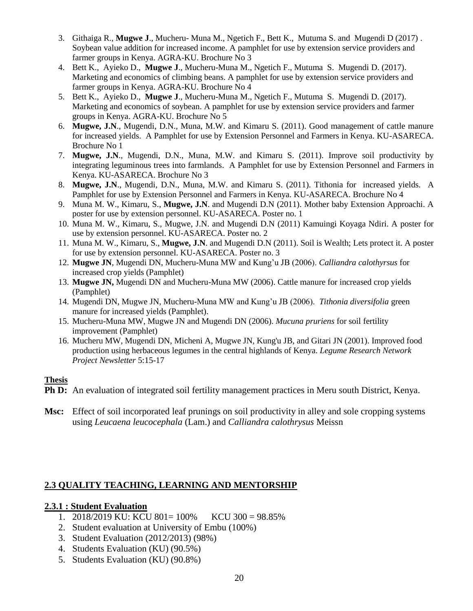- 3. Githaiga R., **Mugwe J**., Mucheru- Muna M., Ngetich F., Bett K., Mutuma S. and Mugendi D (2017) . Soybean value addition for increased income. A pamphlet for use by extension service providers and farmer groups in Kenya. AGRA-KU. Brochure No 3
- 4. Bett K., Ayieko D., **Mugwe J**., Mucheru-Muna M., Ngetich F., Mutuma S. Mugendi D. (2017). Marketing and economics of climbing beans. A pamphlet for use by extension service providers and farmer groups in Kenya. AGRA-KU. Brochure No 4
- 5. Bett K., Ayieko D., **Mugwe J**., Mucheru-Muna M., Ngetich F., Mutuma S. Mugendi D. (2017). Marketing and economics of soybean. A pamphlet for use by extension service providers and farmer groups in Kenya. AGRA-KU. Brochure No 5
- 6. **Mugwe, J.N**., Mugendi, D.N., Muna, M.W. and Kimaru S. (2011). Good management of cattle manure for increased yields. A Pamphlet for use by Extension Personnel and Farmers in Kenya. KU-ASARECA. Brochure No 1
- 7. **Mugwe, J.N**., Mugendi, D.N., Muna, M.W. and Kimaru S. (2011). Improve soil productivity by integrating leguminous trees into farmlands. A Pamphlet for use by Extension Personnel and Farmers in Kenya. KU-ASARECA. Brochure No 3
- 8. **Mugwe, J.N**., Mugendi, D.N., Muna, M.W. and Kimaru S. (2011). Tithonia for increased yields. A Pamphlet for use by Extension Personnel and Farmers in Kenya. KU-ASARECA. Brochure No 4
- 9. Muna M. W., Kimaru, S., **Mugwe, J.N**. and Mugendi D.N (2011). Mother baby Extension Approachi. A poster for use by extension personnel. KU-ASARECA. Poster no. 1
- 10. Muna M. W., Kimaru, S., Mugwe, J.N. and Mugendi D.N (2011) Kamuingi Koyaga Ndiri. A poster for use by extension personnel. KU-ASARECA. Poster no. 2
- 11. Muna M. W., Kimaru, S., **Mugwe, J.N**. and Mugendi D.N (2011). Soil is Wealth; Lets protect it. A poster for use by extension personnel. KU-ASARECA. Poster no. 3
- 12. **Mugwe JN**, Mugendi DN, Mucheru-Muna MW and Kung'u JB (2006). *Calliandra calothyrsus* for increased crop yields (Pamphlet)
- 13. **Mugwe JN,** Mugendi DN and Mucheru-Muna MW (2006). Cattle manure for increased crop yields (Pamphlet)
- 14. Mugendi DN, Mugwe JN, Mucheru-Muna MW and Kung'u JB (2006). *Tithonia diversifolia* green manure for increased yields (Pamphlet).
- 15. Mucheru-Muna MW, Mugwe JN and Mugendi DN (2006). *Mucuna pruriens* for soil fertility improvement (Pamphlet)
- 16. Mucheru MW, Mugendi DN, Micheni A, Mugwe JN, Kung'u JB, and Gitari JN (2001). Improved food production using herbaceous legumes in the central highlands of Kenya. *Legume Research Network Project Newsletter* 5:15-17

### **Thesis**

- **Ph D:** An evaluation of integrated soil fertility management practices in Meru south District, Kenya.
- **Msc:** Effect of soil incorporated leaf prunings on soil productivity in alley and sole cropping systems using *Leucaena leucocephala* (Lam.) and *Calliandra calothrysus* Meissn

### **2.3 QUALITY TEACHING, LEARNING AND MENTORSHIP**

#### **2.3.1 : Student Evaluation**

- 1. 2018/2019 KU: KCU 801= 100% KCU 300 = 98.85%
- 2. Student evaluation at University of Embu (100%)
- 3. Student Evaluation (2012/2013) (98%)
- 4. Students Evaluation (KU) (90.5%)
- 5. Students Evaluation (KU) (90.8%)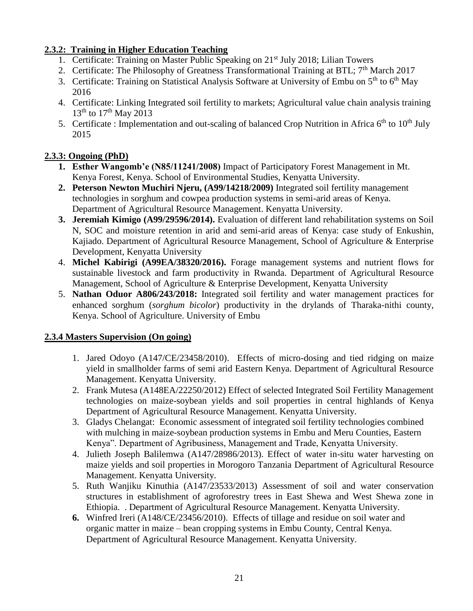### **2.3.2: Training in Higher Education Teaching**

- 1. Certificate: Training on Master Public Speaking on 21<sup>st</sup> July 2018; Lilian Towers
- 2. Certificate: The Philosophy of Greatness Transformational Training at BTL;  $7<sup>th</sup>$  March 2017
- 3. Certificate: Training on Statistical Analysis Software at University of Embu on  $5<sup>th</sup>$  to  $6<sup>th</sup>$  May 2016
- 4. Certificate: Linking Integrated soil fertility to markets; Agricultural value chain analysis training  $13^{th}$  to  $17^{th}$  May 2013
- 5. Certificate : Implementation and out-scaling of balanced Crop Nutrition in Africa  $6<sup>th</sup>$  to  $10<sup>th</sup>$  July 2015

## **2.3.3: Ongoing (PhD)**

- **1. Esther Wangomb'e (N85/11241/2008)** Impact of Participatory Forest Management in Mt. Kenya Forest, Kenya. School of Environmental Studies, Kenyatta University.
- **2. Peterson Newton Muchiri Njeru, (A99/14218/2009)** Integrated soil fertility management technologies in sorghum and cowpea production systems in semi-arid areas of Kenya. Department of Agricultural Resource Management. Kenyatta University.
- **3. Jeremiah Kimigo (A99/29596/2014).** Evaluation of different land rehabilitation systems on Soil N, SOC and moisture retention in arid and semi-arid areas of Kenya: case study of Enkushin, Kajiado. Department of Agricultural Resource Management, School of Agriculture & Enterprise Development, Kenyatta University
- 4. **Michel Kabirigi (A99EA/38320/2016).** Forage management systems and nutrient flows for sustainable livestock and farm productivity in Rwanda. Department of Agricultural Resource Management, School of Agriculture & Enterprise Development, Kenyatta University
- 5. **Nathan Oduor A806/243/2018:** Integrated soil fertility and water management practices for enhanced sorghum (*sorghum bicolor*) productivity in the drylands of Tharaka-nithi county, Kenya. School of Agriculture. University of Embu

## **2.3.4 Masters Supervision (On going)**

- 1. Jared Odoyo (A147/CE/23458/2010). Effects of micro-dosing and tied ridging on maize yield in smallholder farms of semi arid Eastern Kenya. Department of Agricultural Resource Management. Kenyatta University.
- 2. Frank Mutesa (A148EA/22250/2012) Effect of selected Integrated Soil Fertility Management technologies on maize-soybean yields and soil properties in central highlands of Kenya Department of Agricultural Resource Management. Kenyatta University.
- 3. Gladys Chelangat: Economic assessment of integrated soil fertility technologies combined with mulching in maize-soybean production systems in Embu and Meru Counties, Eastern Kenya". Department of Agribusiness, Management and Trade, Kenyatta University.
- 4. Julieth Joseph Balilemwa (A147/28986/2013). Effect of water in-situ water harvesting on maize yields and soil properties in Morogoro Tanzania Department of Agricultural Resource Management. Kenyatta University.
- 5. Ruth Wanjiku Kinuthia (A147/23533/2013) Assessment of soil and water conservation structures in establishment of agroforestry trees in East Shewa and West Shewa zone in Ethiopia. . Department of Agricultural Resource Management. Kenyatta University.
- **6.** Winfred Ireri (A148/CE/23456/2010). Effects of tillage and residue on soil water and organic matter in maize – bean cropping systems in Embu County, Central Kenya. Department of Agricultural Resource Management. Kenyatta University.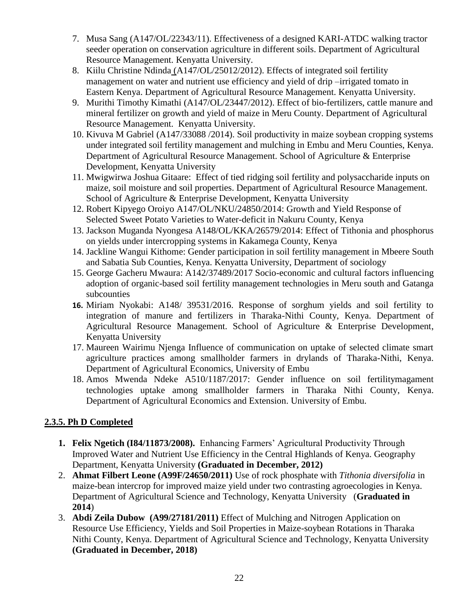- 7. Musa Sang (A147/OL/22343/11). Effectiveness of a designed KARI-ATDC walking tractor seeder operation on conservation agriculture in different soils. Department of Agricultural Resource Management. Kenyatta University.
- 8. Kiilu Christine Ndinda (A147/OL/25012/2012). Effects of integrated soil fertility management on water and nutrient use efficiency and yield of drip –irrigated tomato in Eastern Kenya. Department of Agricultural Resource Management. Kenyatta University.
- 9. Murithi Timothy Kimathi (A147/OL/23447/2012). Effect of bio-fertilizers, cattle manure and mineral fertilizer on growth and yield of maize in Meru County. Department of Agricultural Resource Management. Kenyatta University.
- 10. Kivuva M Gabriel (A147/33088 /2014). Soil productivity in maize soybean cropping systems under integrated soil fertility management and mulching in Embu and Meru Counties, Kenya. Department of Agricultural Resource Management. School of Agriculture & Enterprise Development, Kenyatta University
- 11. Mwigwirwa Joshua Gitaare: Effect of tied ridging soil fertility and polysaccharide inputs on maize, soil moisture and soil properties. Department of Agricultural Resource Management. School of Agriculture & Enterprise Development, Kenyatta University
- 12. Robert Kipyego Oroiyo A147/OL/NKU/24850/2014: Growth and Yield Response of Selected Sweet Potato Varieties to Water-deficit in Nakuru County, Kenya
- 13. Jackson Muganda Nyongesa A148/OL/KKA/26579/2014: Effect of Tithonia and phosphorus on yields under intercropping systems in Kakamega County, Kenya
- 14. Jackline Wangui Kithome: Gender participation in soil fertility management in Mbeere South and Sabatia Sub Counties, Kenya. Kenyatta University, Department of sociology
- 15. George Gacheru Mwaura: A142/37489/2017 Socio-economic and cultural factors influencing adoption of organic-based soil fertility management technologies in Meru south and Gatanga subcounties
- **16.** Miriam Nyokabi: A148/ 39531/2016. Response of sorghum yields and soil fertility to integration of manure and fertilizers in Tharaka-Nithi County, Kenya. Department of Agricultural Resource Management. School of Agriculture & Enterprise Development, Kenyatta University
- 17. Maureen Wairimu Njenga Influence of communication on uptake of selected climate smart agriculture practices among smallholder farmers in drylands of Tharaka-Nithi, Kenya. Department of Agricultural Economics, University of Embu
- 18. Amos Mwenda Ndeke A510/1187/2017: Gender influence on soil fertilitymagament technologies uptake among smallholder farmers in Tharaka Nithi County, Kenya. Department of Agricultural Economics and Extension. University of Embu.

## **2.3.5. Ph D Completed**

- **1. Felix Ngetich (I84/11873/2008).** Enhancing Farmers' Agricultural Productivity Through Improved Water and Nutrient Use Efficiency in the Central Highlands of Kenya. Geography Department, Kenyatta University **(Graduated in December, 2012)**
- 2. **Ahmat Filbert Leone (A99F/24650/2011)** Use of rock phosphate with *Tithonia diversifolia* in maize-bean intercrop for improved maize yield under two contrasting agroecologies in Kenya. Department of Agricultural Science and Technology, Kenyatta University (**Graduated in 2014**)
- 3. **Abdi Zeila Dubow (A99/27181/2011)** Effect of Mulching and Nitrogen Application on Resource Use Efficiency, Yields and Soil Properties in Maize-soybean Rotations in Tharaka Nithi County, Kenya. Department of Agricultural Science and Technology, Kenyatta University **(Graduated in December, 2018)**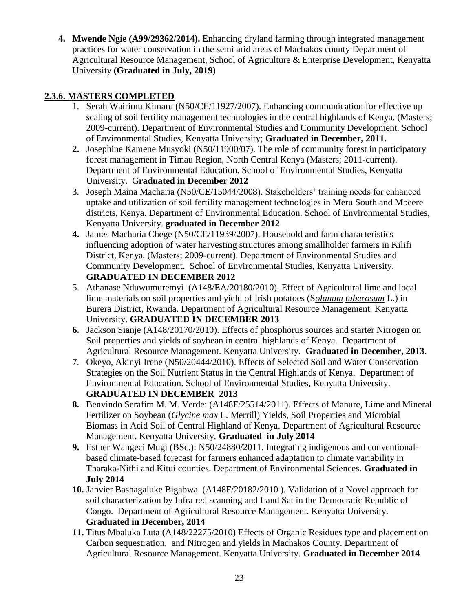**4. Mwende Ngie (A99/29362/2014).** Enhancing dryland farming through integrated management practices for water conservation in the semi arid areas of Machakos county Department of Agricultural Resource Management, School of Agriculture & Enterprise Development, Kenyatta University **(Graduated in July, 2019)** 

## **2.3.6. MASTERS COMPLETED**

- 1. Serah Wairimu Kimaru (N50/CE/11927/2007). Enhancing communication for effective up scaling of soil fertility management technologies in the central highlands of Kenya. (Masters; 2009-current). Department of Environmental Studies and Community Development. School of Environmental Studies, Kenyatta University; **Graduated in December, 2011.**
- **2.** Josephine Kamene Musyoki (N50/11900/07). The role of community forest in participatory forest management in Timau Region, North Central Kenya (Masters; 2011-current). Department of Environmental Education. School of Environmental Studies, Kenyatta University. G**raduated in December 2012**
- 3. Joseph Maina Macharia (N50/CE/15044/2008). Stakeholders' training needs for enhanced uptake and utilization of soil fertility management technologies in Meru South and Mbeere districts, Kenya. Department of Environmental Education. School of Environmental Studies, Kenyatta University. **graduated in December 2012**
- **4.** James Macharia Chege (N50/CE/11939/2007). Household and farm characteristics influencing adoption of water harvesting structures among smallholder farmers in Kilifi District, Kenya. (Masters; 2009-current). Department of Environmental Studies and Community Development. School of Environmental Studies, Kenyatta University. **GRADUATED IN DECEMBER 2012**
- 5. Athanase Nduwumuremyi (A148/EA/20180/2010). Effect of Agricultural lime and local lime materials on soil properties and yield of Irish potatoes (S*olanum tuberosum* L.) in Burera District, Rwanda. Department of Agricultural Resource Management. Kenyatta University. **GRADUATED IN DECEMBER 2013**
- **6.** Jackson Sianje (A148/20170/2010). Effects of phosphorus sources and starter Nitrogen on Soil properties and yields of soybean in central highlands of Kenya. Department of Agricultural Resource Management. Kenyatta University. **Graduated in December, 2013**.
- 7. Okeyo, Akinyi Irene (N50/20444/2010). Effects of Selected Soil and Water Conservation Strategies on the Soil Nutrient Status in the Central Highlands of Kenya. Department of Environmental Education. School of Environmental Studies, Kenyatta University. **GRADUATED IN DECEMBER 2013**
- **8.** Benvindo Serafim M. M. Verde: (A148F/25514/2011). Effects of Manure, Lime and Mineral Fertilizer on Soybean (*Glycine max* L. Merrill) Yields, Soil Properties and Microbial Biomass in Acid Soil of Central Highland of Kenya. Department of Agricultural Resource Management. Kenyatta University. **Graduated in July 2014**
- **9.** Esther Wangeci Mugi (BSc.): N50/24880/2011. Integrating indigenous and conventionalbased climate-based forecast for farmers enhanced adaptation to climate variability in Tharaka-Nithi and Kitui counties. Department of Environmental Sciences. **Graduated in July 2014**
- **10.** Janvier Bashagaluke Bigabwa (A148F/20182/2010 ). Validation of a Novel approach for soil characterization by Infra red scanning and Land Sat in the Democratic Republic of Congo. Department of Agricultural Resource Management. Kenyatta University. **Graduated in December, 2014**
- **11.** Titus Mbaluka Luta (A148/22275/2010) Effects of Organic Residues type and placement on Carbon sequestration, and Nitrogen and yields in Machakos County. Department of Agricultural Resource Management. Kenyatta University. **Graduated in December 2014**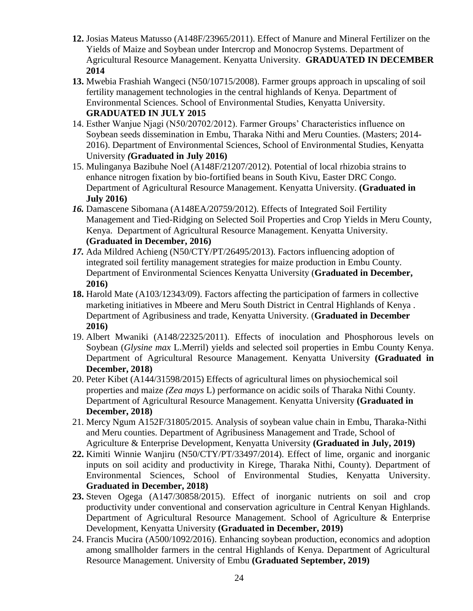- **12.** Josias Mateus Matusso (A148F/23965/2011). Effect of Manure and Mineral Fertilizer on the Yields of Maize and Soybean under Intercrop and Monocrop Systems. Department of Agricultural Resource Management. Kenyatta University. **GRADUATED IN DECEMBER 2014**
- **13.** Mwebia Frashiah Wangeci (N50/10715/2008). Farmer groups approach in upscaling of soil fertility management technologies in the central highlands of Kenya. Department of Environmental Sciences. School of Environmental Studies, Kenyatta University. **GRADUATED IN JULY 2015**
- 14. Esther Wanjue Njagi (N50/20702/2012). Farmer Groups' Characteristics influence on Soybean seeds dissemination in Embu, Tharaka Nithi and Meru Counties. (Masters; 2014- 2016). Department of Environmental Sciences, School of Environmental Studies, Kenyatta University *(***Graduated in July 2016)**
- 15. Mulinganya Bazibuhe Noel (A148F/21207/2012). Potential of local rhizobia strains to enhance nitrogen fixation by bio-fortified beans in South Kivu, Easter DRC Congo. Department of Agricultural Resource Management. Kenyatta University. **(Graduated in July 2016)**
- *16.* Damascene Sibomana (A148EA/20759/2012). Effects of Integrated Soil Fertility Management and Tied-Ridging on Selected Soil Properties and Crop Yields in Meru County, Kenya. Department of Agricultural Resource Management. Kenyatta University*.* **(Graduated in December, 2016)**
- *17.* Ada Mildred Achieng (N50/CTY/PT/26495/2013). Factors influencing adoption of integrated soil fertility management strategies for maize production in Embu County. Department of Environmental Sciences Kenyatta University (**Graduated in December, 2016)**
- **18.** Harold Mate (A103/12343/09). Factors affecting the participation of farmers in collective marketing initiatives in Mbeere and Meru South District in Central Highlands of Kenya . Department of Agribusiness and trade, Kenyatta University. (**Graduated in December 2016)**
- 19. Albert Mwaniki (A148/22325/2011). Effects of inoculation and Phosphorous levels on Soybean (*Glysine max* L.Merril) yields and selected soil properties in Embu County Kenya. Department of Agricultural Resource Management. Kenyatta University **(Graduated in December, 2018)**
- 20. Peter Kibet (A144/31598/2015) Effects of agricultural limes on physiochemical soil properties and maize *(Zea mays* L) performance on acidic soils of Tharaka Nithi County. Department of Agricultural Resource Management. Kenyatta University **(Graduated in December, 2018)**
- 21. Mercy Ngum A152F/31805/2015. Analysis of soybean value chain in Embu, Tharaka-Nithi and Meru counties. Department of Agribusiness Management and Trade, School of Agriculture & Enterprise Development, Kenyatta University **(Graduated in July, 2019)**
- **22.** Kimiti Winnie Wanjiru (N50/CTY/PT/33497/2014). Effect of lime, organic and inorganic inputs on soil acidity and productivity in Kirege, Tharaka Nithi, County). Department of Environmental Sciences, School of Environmental Studies, Kenyatta University. **Graduated in December, 2018)**
- **23.** Steven Ogega (A147/30858/2015). Effect of inorganic nutrients on soil and crop productivity under conventional and conservation agriculture in Central Kenyan Highlands. Department of Agricultural Resource Management. School of Agriculture & Enterprise Development, Kenyatta University **(Graduated in December, 2019)**
- 24. Francis Mucira (A500/1092/2016). Enhancing soybean production, economics and adoption among smallholder farmers in the central Highlands of Kenya. Department of Agricultural Resource Management. University of Embu **(Graduated September, 2019)**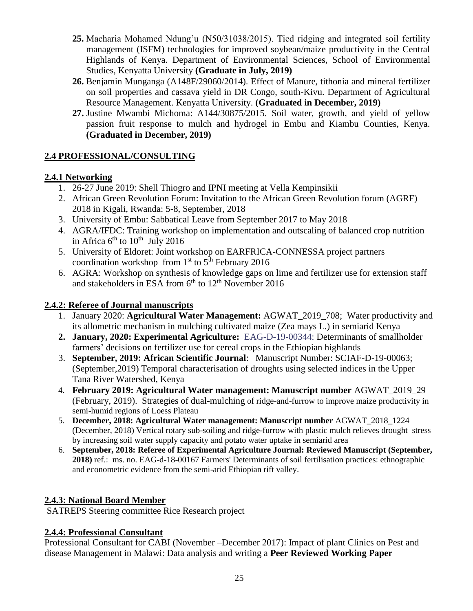- **25.** Macharia Mohamed Ndung'u (N50/31038/2015). Tied ridging and integrated soil fertility management (ISFM) technologies for improved soybean/maize productivity in the Central Highlands of Kenya. Department of Environmental Sciences, School of Environmental Studies, Kenyatta University **(Graduate in July, 2019)**
- **26.** Benjamin Munganga (A148F/29060/2014). Effect of Manure, tithonia and mineral fertilizer on soil properties and cassava yield in DR Congo, south-Kivu. Department of Agricultural Resource Management. Kenyatta University. **(Graduated in December, 2019)**
- **27.** Justine Mwambi Michoma: A144/30875/2015. Soil water, growth, and yield of yellow passion fruit response to mulch and hydrogel in Embu and Kiambu Counties, Kenya. **(Graduated in December, 2019)**

# **2.4 PROFESSIONAL/CONSULTING**

## **2.4.1 Networking**

- 1. 26-27 June 2019: Shell Thiogro and IPNI meeting at Vella Kempinsikii
- 2. African Green Revolution Forum: Invitation to the African Green Revolution forum (AGRF) 2018 in Kigali, Rwanda: 5-8, September, 2018
- 3. University of Embu: Sabbatical Leave from September 2017 to May 2018
- 4. AGRA/IFDC: Training workshop on implementation and outscaling of balanced crop nutrition in Africa  $6^{\text{th}}$  to  $10^{\text{th}}$  July 2016
- 5. University of Eldoret: Joint workshop on EARFRICA-CONNESSA project partners coordination workshop from  $1<sup>st</sup>$  to  $5<sup>th</sup>$  February 2016
- 6. AGRA: Workshop on synthesis of knowledge gaps on lime and fertilizer use for extension staff and stakeholders in ESA from  $6<sup>th</sup>$  to  $12<sup>th</sup>$  November 2016

## **2.4.2: Referee of Journal manuscripts**

- 1. January 2020: **Agricultural Water Management:** AGWAT\_2019\_708; Water productivity and its allometric mechanism in mulching cultivated maize (Zea mays L.) in semiarid Kenya
- **2. January, 2020: Experimental Agriculture:** EAG-D-19-00344: Determinants of smallholder farmers' decisions on fertilizer use for cereal crops in the Ethiopian highlands
- 3. **September, 2019: African Scientific Journal**: Manuscript Number: SCIAF-D-19-00063; (September,2019) Temporal characterisation of droughts using selected indices in the Upper Tana River Watershed, Kenya
- 4. **February 2019: Agricultural Water management: Manuscript number** AGWAT\_2019\_29 (February, 2019). Strategies of dual-mulching of ridge-and-furrow to improve maize productivity in semi-humid regions of Loess Plateau
- 5. **December, 2018: Agricultural Water management: Manuscript number** AGWAT\_2018\_1224 (December, 2018) Vertical rotary sub-soiling and ridge-furrow with plastic mulch relieves drought stress by increasing soil water supply capacity and potato water uptake in semiarid area
- 6. **September, 2018: Referee of Experimental Agriculture Journal: Reviewed Manuscript (September, 2018)** ref.: ms. no. EAG-d-18-00167 Farmers' Determinants of soil fertilisation practices: ethnographic and econometric evidence from the semi-arid Ethiopian rift valley.

# **2.4.3: National Board Member**

SATREPS Steering committee Rice Research project

## **2.4.4: Professional Consultant**

Professional Consultant for CABI (November –December 2017): Impact of plant Clinics on Pest and disease Management in Malawi: Data analysis and writing a **Peer Reviewed Working Paper**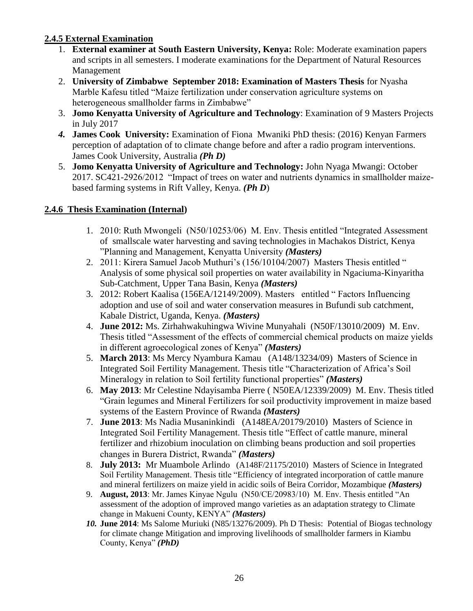### **2.4.5 External Examination**

- 1. **External examiner at South Eastern University, Kenya:** Role: Moderate examination papers and scripts in all semesters. I moderate examinations for the Department of Natural Resources Management
- 2. **University of Zimbabwe September 2018: Examination of Masters Thesis** for Nyasha Marble Kafesu titled "Maize fertilization under conservation agriculture systems on heterogeneous smallholder farms in Zimbabwe"
- 3. **Jomo Kenyatta University of Agriculture and Technology**: Examination of 9 Masters Projects in July 2017
- *4.* **James Cook University:** Examination of Fiona Mwaniki PhD thesis: (2016) Kenyan Farmers perception of adaptation of to climate change before and after a radio program interventions. James Cook University, Australia *(Ph D)*
- 5. **Jomo Kenyatta University of Agriculture and Technology:** John Nyaga Mwangi: October 2017. SC421-2926/2012 "Impact of trees on water and nutrients dynamics in smallholder maizebased farming systems in Rift Valley, Kenya. *(Ph D*)

### **2.4.6 Thesis Examination (Internal)**

- 1. 2010: Ruth Mwongeli (N50/10253/06) M. Env. Thesis entitled "Integrated Assessment of smallscale water harvesting and saving technologies in Machakos District, Kenya "Planning and Management, Kenyatta University *(Masters)*
- 2. 2011: Kirera Samuel Jacob Muthuri's (156/10104/2007) Masters Thesis entitled " Analysis of some physical soil properties on water availability in Ngaciuma-Kinyaritha Sub-Catchment, Upper Tana Basin, Kenya *(Masters)*
- 3. 2012: Robert Kaalisa (156EA/12149/2009). Masters entitled " Factors Influencing adoption and use of soil and water conservation measures in Bufundi sub catchment, Kabale District, Uganda, Kenya. *(Masters)*
- 4. **June 2012:** Ms. Zirhahwakuhingwa Wivine Munyahali (N50F/13010/2009) M. Env. Thesis titled "Assessment of the effects of commercial chemical products on maize yields in different agroecological zones of Kenya" *(Masters)*
- 5. **March 2013**: Ms Mercy Nyambura Kamau (A148/13234/09) Masters of Science in Integrated Soil Fertility Management. Thesis title "Characterization of Africa's Soil Mineralogy in relation to Soil fertility functional properties" *(Masters)*
- 6. **May 2013**: Mr Celestine Ndayisamba Pierre ( N50EA/12339/2009) M. Env. Thesis titled "Grain legumes and Mineral Fertilizers for soil productivity improvement in maize based systems of the Eastern Province of Rwanda *(Masters)*
- 7. **June 2013**: Ms Nadia Musaninkindi (A148EA/20179/2010) Masters of Science in Integrated Soil Fertility Management. Thesis title "Effect of cattle manure, mineral fertilizer and rhizobium inoculation on climbing beans production and soil properties changes in Burera District, Rwanda" *(Masters)*
- 8. **July 2013:** Mr Muambole Arlindo (A148F/21175/2010) Masters of Science in Integrated Soil Fertility Management. Thesis title "Efficiency of integrated incorporation of cattle manure and mineral fertilizers on maize yield in acidic soils of Beira Corridor, Mozambique *(Masters)*
- 9. **August, 2013**: Mr. James Kinyae Ngulu (N50/CE/20983/10) M. Env. Thesis entitled "An assessment of the adoption of improved mango varieties as an adaptation strategy to Climate change in Makueni County, KENYA" *(Masters)*
- *10.* **June 2014**: Ms Salome Muriuki (N85/13276/2009). Ph D Thesis: Potential of Biogas technology for climate change Mitigation and improving livelihoods of smallholder farmers in Kiambu County, Kenya" *(PhD)*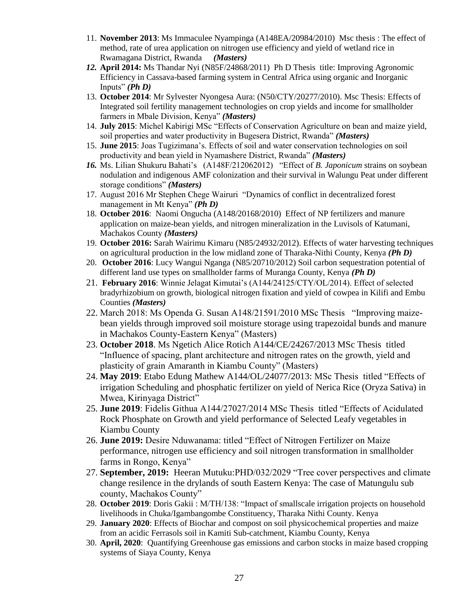- 11. **November 2013**: Ms Immaculee Nyampinga (A148EA/20984/2010) Msc thesis : The effect of method, rate of urea application on nitrogen use efficiency and yield of wetland rice in Rwamagana District, Rwanda *(Masters)*
- *12.* **April 2014:** Ms Thandar Nyi (N85F/24868/2011) Ph D Thesis title: Improving Agronomic Efficiency in Cassava-based farming system in Central Africa using organic and Inorganic Inputs" *(Ph D)*
- 13. **October 2014**: Mr Sylvester Nyongesa Aura: (N50/CTY/20277/2010). Msc Thesis: Effects of Integrated soil fertility management technologies on crop yields and income for smallholder farmers in Mbale Division, Kenya" *(Masters)*
- 14. **July 2015**: Michel Kabirigi MSc "Effects of Conservation Agriculture on bean and maize yield, soil properties and water productivity in Bugesera District, Rwanda" *(Masters)*
- 15. **June 2015**: Joas Tugizimana's. Effects of soil and water conservation technologies on soil productivity and bean yield in Nyamashere District, Rwanda" *(Masters)*
- *16.* Ms. Lilian Shukuru Bahati's (A148F/212062012) "Effect of *B. Japonicum* strains on soybean nodulation and indigenous AMF colonization and their survival in Walungu Peat under different storage conditions" *(Masters)*
- 17. August 2016 Mr Stephen Chege Wairuri "Dynamics of conflict in decentralized forest management in Mt Kenya" *(Ph D)*
- 18. **October 2016**: Naomi Ongucha (A148/20168/2010) Effect of NP fertilizers and manure application on maize-bean yields, and nitrogen mineralization in the Luvisols of Katumani, Machakos County *(Masters)*
- 19. **October 2016:** Sarah Wairimu Kimaru (N85/24932/2012). Effects of water harvesting techniques on agricultural production in the low midland zone of Tharaka-Nithi County, Kenya *(Ph D)*
- 20. **October 2016**: Lucy Wangui Nganga (N85/20710/2012) Soil carbon sequestration potential of different land use types on smallholder farms of Muranga County, Kenya *(Ph D)*
- 21. **February 2016**: Winnie Jelagat Kimutai's (A144/24125/CTY/OL/2014). Effect of selected bradyrhizobium on growth, biological nitrogen fixation and yield of cowpea in Kilifi and Embu Counties *(Masters)*
- 22. March 2018: Ms Openda G. Susan A148/21591/2010 MSc Thesis "Improving maizebean yields through improved soil moisture storage using trapezoidal bunds and manure in Machakos County-Eastern Kenya" (Masters)
- 23. **October 2018**. Ms Ngetich Alice Rotich A144/CE/24267/2013 MSc Thesis titled "Influence of spacing, plant architecture and nitrogen rates on the growth, yield and plasticity of grain Amaranth in Kiambu County" (Masters)
- 24. **May 2019**: Etabo Edung Mathew A144/OL/24077/2013: MSc Thesis titled "Effects of irrigation Scheduling and phosphatic fertilizer on yield of Nerica Rice (Oryza Sativa) in Mwea, Kirinyaga District"
- 25. **June 2019**: Fidelis Githua A144/27027/2014 MSc Thesis titled "Effects of Acidulated Rock Phosphate on Growth and yield performance of Selected Leafy vegetables in Kiambu County
- 26. **June 2019:** Desire Nduwanama: titled "Effect of Nitrogen Fertilizer on Maize performance, nitrogen use efficiency and soil nitrogen transformation in smallholder farms in Rongo, Kenya"
- 27. **September, 2019:** Heeran Mutuku:PHD/032/2029 "Tree cover perspectives and climate change resilence in the drylands of south Eastern Kenya: The case of Matungulu sub county, Machakos County"
- 28. **October 2019**: Doris Gakii : M/TH/138: "Impact of smallscale irrigation projects on household livelihoods in Chuka/Igambangombe Constituency, Tharaka Nithi County. Kenya
- 29. **January 2020**: Effects of Biochar and compost on soil physicochemical properties and maize from an acidic Ferrasols soil in Kamiti Sub-catchment, Kiambu County, Kenya
- 30. **April, 2020**: Quantifying Greenhouse gas emissions and carbon stocks in maize based cropping systems of Siaya County, Kenya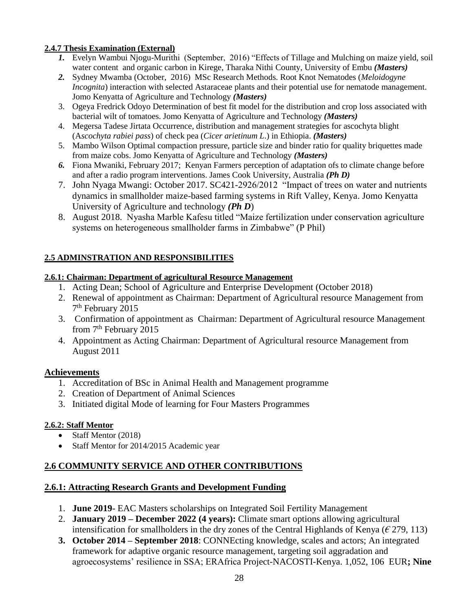#### **2.4.7 Thesis Examination (External)**

- *1.* Evelyn Wambui Njogu-Murithi (September, 2016) "Effects of Tillage and Mulching on maize yield, soil water content and organic carbon in Kirege, Tharaka Nithi County, University of Embu *(Masters)*
- *2.* Sydney Mwamba (October, 2016) MSc Research Methods. Root Knot Nematodes (*Meloidogyne Incognita*) interaction with selected Astaraceae plants and their potential use for nematode management. Jomo Kenyatta of Agriculture and Technology *(Masters)*
- 3. Ogeya Fredrick Odoyo Determination of best fit model for the distribution and crop loss associated with bacterial wilt of tomatoes. Jomo Kenyatta of Agriculture and Technology *(Masters)*
- 4. Megersa Tadese Jirtata Occurrence, distribution and management strategies for ascochyta blight (A*scochyta rabiei pass*) of check pea (*Cicer arietinum L*.) in Ethiopia. *(Masters)*
- 5. Mambo Wilson Optimal compaction pressure, particle size and binder ratio for quality briquettes made from maize cobs. Jomo Kenyatta of Agriculture and Technology *(Masters)*
- *6.* Fiona Mwaniki, February 2017; Kenyan Farmers perception of adaptation ofs to climate change before and after a radio program interventions. James Cook University, Australia *(Ph D)*
- 7. John Nyaga Mwangi: October 2017. SC421-2926/2012 "Impact of trees on water and nutrients dynamics in smallholder maize-based farming systems in Rift Valley, Kenya. Jomo Kenyatta University of Agriculture and technology *(Ph D*)
- 8. August 2018. Nyasha Marble Kafesu titled "Maize fertilization under conservation agriculture systems on heterogeneous smallholder farms in Zimbabwe" (P Phil)

### **2.5 ADMINSTRATION AND RESPONSIBILITIES**

#### **2.6.1: Chairman: Department of agricultural Resource Management**

- 1. Acting Dean; School of Agriculture and Enterprise Development (October 2018)
- 2. Renewal of appointment as Chairman: Department of Agricultural resource Management from 7<sup>th</sup> February 2015
- 3. Confirmation of appointment as Chairman: Department of Agricultural resource Management from  $7<sup>th</sup>$  February 2015
- 4. Appointment as Acting Chairman: Department of Agricultural resource Management from August 2011

### **Achievements**

- 1. Accreditation of BSc in Animal Health and Management programme
- 2. Creation of Department of Animal Sciences
- 3. Initiated digital Mode of learning for Four Masters Programmes

### **2.6.2: Staff Mentor**

- Staff Mentor (2018)
- Staff Mentor for 2014/2015 Academic year

## **2.6 COMMUNITY SERVICE AND OTHER CONTRIBUTIONS**

### **2.6.1: Attracting Research Grants and Development Funding**

- 1. **June 2019** EAC Masters scholarships on Integrated Soil Fertility Management
- 2. **January 2019 – December 2022 (4 years):** Climate smart options allowing agricultural intensification for smallholders in the dry zones of the Central Highlands of Kenya ( $\epsilon$  279, 113)
- **3. October 2014 – September 2018**: CONNEcting knowledge, scales and actors; An integrated framework for adaptive organic resource management, targeting soil aggradation and agroecosystems' resilience in SSA; ERAfrica Project-NACOSTI-Kenya. 1,052, 106 EUR**; Nine**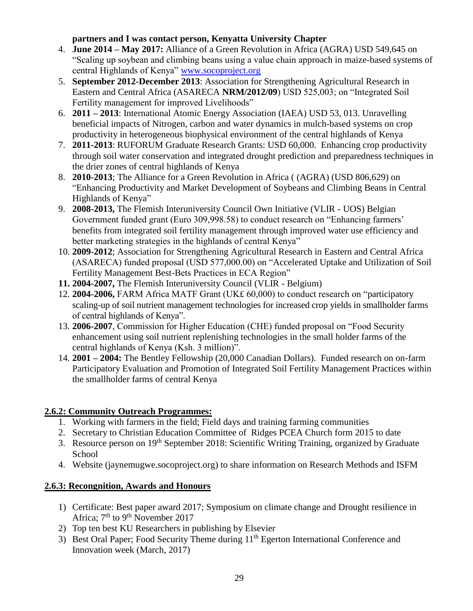### **partners and I was contact person, Kenyatta University Chapter**

- 4. **June 2014 – May 2017:** Alliance of a Green Revolution in Africa (AGRA) USD 549,645 on "Scaling up soybean and climbing beans using a value chain approach in maize-based systems of central Highlands of Kenya" [www.socoproject.org](http://www.socoproject.org/)
- 5. **September 2012-December 2013**: Association for Strengthening Agricultural Research in Eastern and Central Africa (ASARECA **NRM/2012/09**) USD 525,003; on "Integrated Soil Fertility management for improved Livelihoods"
- 6. **2011 – 2013**: International Atomic Energy Association (IAEA) USD 53, 013. Unravelling beneficial impacts of Nitrogen, carbon and water dynamics in mulch-based systems on crop productivity in heterogeneous biophysical environment of the central highlands of Kenya
- 7. **2011-2013**: RUFORUM Graduate Research Grants: USD 60,000. Enhancing crop productivity through soil water conservation and integrated drought prediction and preparedness techniques in the drier zones of central highlands of Kenya
- 8. **2010-2013**; The Alliance for a Green Revolution in Africa ( (AGRA) (USD 806,629) on "Enhancing Productivity and Market Development of Soybeans and Climbing Beans in Central Highlands of Kenya"
- 9. **2008-2013,** The Flemish Interuniversity Council Own Initiative (VLIR UOS) Belgian Government funded grant (Euro 309,998.58) to conduct research on "Enhancing farmers' benefits from integrated soil fertility management through improved water use efficiency and better marketing strategies in the highlands of central Kenya"
- 10. **2009-2012**; Association for Strengthening Agricultural Research in Eastern and Central Africa (ASARECA) funded proposal (USD 577,000.00) on "Accelerated Uptake and Utilization of Soil Fertility Management Best-Bets Practices in ECA Region"
- **11. 2004-2007,** The Flemish Interuniversity Council (VLIR Belgium)
- 12. **2004-2006,** FARM Africa MATF Grant (UK£ 60,000) to conduct research on "participatory scaling-up of soil nutrient management technologies for increased crop yields in smallholder farms of central highlands of Kenya".
- 13. **2006-2007**, Commission for Higher Education (CHE) funded proposal on "Food Security enhancement using soil nutrient replenishing technologies in the small holder farms of the central highlands of Kenya (Ksh. 3 million)".
- 14. **2001 – 2004:** The Bentley Fellowship (20,000 Canadian Dollars). Funded research on on-farm Participatory Evaluation and Promotion of Integrated Soil Fertility Management Practices within the smallholder farms of central Kenya

## **2.6.2: Community Outreach Programmes:**

- 1. Working with farmers in the field; Field days and training farming communities
- 2. Secretary to Christian Education Committee of Ridges PCEA Church form 2015 to date
- 3. Resource person on 19th September 2018: Scientific Writing Training, organized by Graduate School
- 4. Website (jaynemugwe.socoproject.org) to share information on Research Methods and ISFM

## **2.6.3: Recongnition, Awards and Honours**

- 1) Certificate: Best paper award 2017; Symposium on climate change and Drought resilience in Africa;  $7<sup>th</sup>$  to  $9<sup>th</sup>$  November 2017
- 2) Top ten best KU Researchers in publishing by Elsevier
- 3) Best Oral Paper; Food Security Theme during 11<sup>th</sup> Egerton International Conference and Innovation week (March, 2017)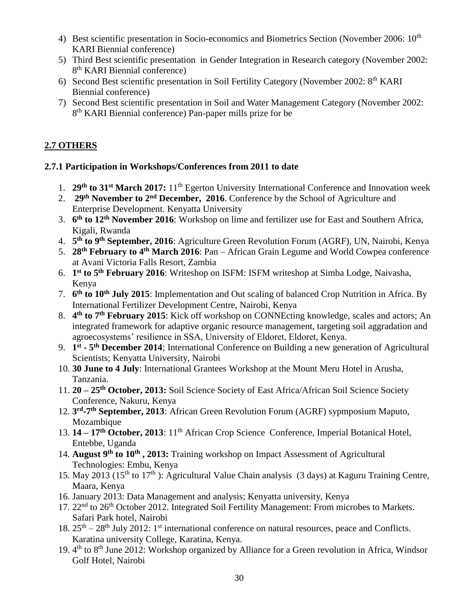- 4) Best scientific presentation in Socio-economics and Biometrics Section (November 2006: 10<sup>th</sup> KARI Biennial conference)
- 5) Third Best scientific presentation in Gender Integration in Research category (November 2002: 8<sup>th</sup> KARI Biennial conference)
- 6) Second Best scientific presentation in Soil Fertility Category (November 2002: 8th KARI Biennial conference)
- 7) Second Best scientific presentation in Soil and Water Management Category (November 2002: 8<sup>th</sup> KARI Biennial conference) Pan-paper mills prize for be

# **2.7 OTHERS**

## **2.7.1 Participation in Workshops/Conferences from 2011 to date**

- 1. **29th to 31st March 2017:** 11th Egerton University International Conference and Innovation week
- 2. **29th November to 2nd December, 2016**. Conference by the School of Agriculture and Enterprise Development. Kenyatta University
- 3. **6 th to 12th November 2016**: Workshop on lime and fertilizer use for East and Southern Africa, Kigali, Rwanda
- 4. **5 th to 9th September, 2016**: Agriculture Green Revolution Forum (AGRF), UN, Nairobi, Kenya
- 5. **28th February to 4th March 2016**: Pan African Grain Legume and World Cowpea conference at Avani Victoria Falls Resort, Zambia
- 6. **1 st to 5th February 2016**: Writeshop on ISFM: ISFM writeshop at Simba Lodge, Naivasha, Kenya
- 7. **6 th to 10th July 2015**: Implementation and Out scaling of balanced Crop Nutrition in Africa. By International Fertilizer Development Centre, Nairobi, Kenya
- 8. **4 th to 7th February 2015**: Kick off workshop on CONNEcting knowledge, scales and actors; An integrated framework for adaptive organic resource management, targeting soil aggradation and agroecosystems' resilience in SSA, University of Eldoret, Eldoret, Kenya.
- 9. **1 st - 5 th December 2014**; International Conference on Building a new generation of Agricultural Scientists; Kenyatta University, Nairobi
- 10. **30 June to 4 July**: International Grantees Workshop at the Mount Meru Hotel in Arusha, Tanzania.
- 11. **20 – 25th October, 2013:** Soil Science Society of East Africa/African Soil Science Society Conference, Nakuru, Kenya
- 12. **3 rd -7 th September, 2013**: African Green Revolution Forum (AGRF) sypmposium Maputo, Mozambique
- 13. **14 – 17th October, 2013**: 11th African Crop Science Conference, Imperial Botanical Hotel, Entebbe, Uganda
- 14. **August 9th to 10th , 2013:** Training workshop on Impact Assessment of Agricultural Technologies: Embu, Kenya
- 15. May 2013 (15<sup>th</sup> to 17<sup>th</sup>): Agricultural Value Chain analysis (3 days) at Kaguru Training Centre, Maara, Kenya
- 16. January 2013: Data Management and analysis; Kenyatta university, Kenya
- 17. 22<sup>nd</sup> to 26<sup>th</sup> October 2012. Integrated Soil Fertility Management: From microbes to Markets. Safari Park hotel, Nairobi
- 18.  $25<sup>th</sup> 28<sup>th</sup>$  July 2012: 1<sup>st</sup> international conference on natural resources, peace and Conflicts. Karatina university College, Karatina, Kenya.
- 19. 4<sup>th</sup> to 8<sup>th</sup> June 2012: Workshop organized by Alliance for a Green revolution in Africa, Windsor Golf Hotel, Nairobi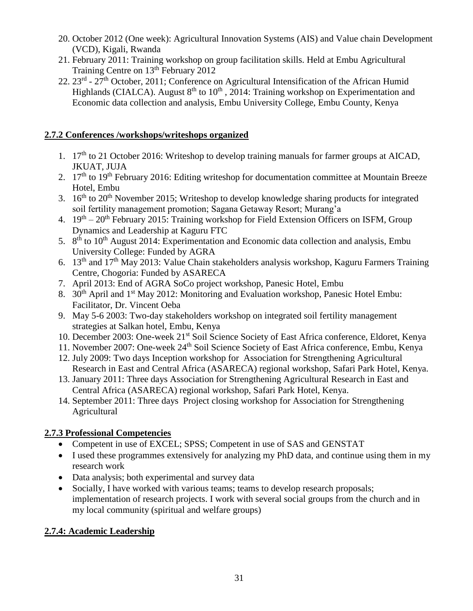- 20. October 2012 (One week): Agricultural Innovation Systems (AIS) and Value chain Development (VCD), Kigali, Rwanda
- 21. February 2011: Training workshop on group facilitation skills. Held at Embu Agricultural Training Centre on 13<sup>th</sup> February 2012
- 22. 23<sup>rd</sup> 27<sup>th</sup> October, 2011; Conference on Agricultural Intensification of the African Humid Highlands (CIALCA). August  $8<sup>th</sup>$  to  $10<sup>th</sup>$ , 2014: Training workshop on Experimentation and Economic data collection and analysis, Embu University College, Embu County, Kenya

## **2.7.2 Conferences /workshops/writeshops organized**

- 1. 17th to 21 October 2016: Writeshop to develop training manuals for farmer groups at AICAD, JKUAT, JUJA
- 2. 17<sup>th</sup> to 19<sup>th</sup> February 2016: Editing writeshop for documentation committee at Mountain Breeze Hotel, Embu
- 3. 16th to 20th November 2015; Writeshop to develop knowledge sharing products for integrated soil fertility management promotion; Sagana Getaway Resort; Murang'a
- 4. 19<sup>th</sup> 20<sup>th</sup> February 2015: Training workshop for Field Extension Officers on ISFM, Group Dynamics and Leadership at Kaguru FTC
- 5.  $8<sup>th</sup>$  to 10<sup>th</sup> August 2014: Experimentation and Economic data collection and analysis, Embu University College: Funded by AGRA
- 6. 13<sup>th</sup> and 17<sup>th</sup> May 2013: Value Chain stakeholders analysis workshop, Kaguru Farmers Training Centre, Chogoria: Funded by ASARECA
- 7. April 2013: End of AGRA SoCo project workshop, Panesic Hotel, Embu
- 8. 30<sup>th</sup> April and 1<sup>st</sup> May 2012: Monitoring and Evaluation workshop, Panesic Hotel Embu: Facilitator, Dr. Vincent Oeba
- 9. May 5-6 2003: Two-day stakeholders workshop on integrated soil fertility management strategies at Salkan hotel, Embu, Kenya
- 10. December 2003: One-week 21st Soil Science Society of East Africa conference, Eldoret, Kenya
- 11. November 2007: One-week 24<sup>th</sup> Soil Science Society of East Africa conference, Embu, Kenya
- 12. July 2009: Two days Inception workshop for Association for Strengthening Agricultural Research in East and Central Africa (ASARECA) regional workshop, Safari Park Hotel, Kenya.
- 13. January 2011: Three days Association for Strengthening Agricultural Research in East and Central Africa (ASARECA) regional workshop, Safari Park Hotel, Kenya.
- 14. September 2011: Three days Project closing workshop for Association for Strengthening **Agricultural**

## **2.7.3 Professional Competencies**

- Competent in use of EXCEL; SPSS; Competent in use of SAS and GENSTAT
- I used these programmes extensively for analyzing my PhD data, and continue using them in my research work
- Data analysis; both experimental and survey data
- Socially, I have worked with various teams; teams to develop research proposals; implementation of research projects. I work with several social groups from the church and in my local community (spiritual and welfare groups)

## **2.7.4: Academic Leadership**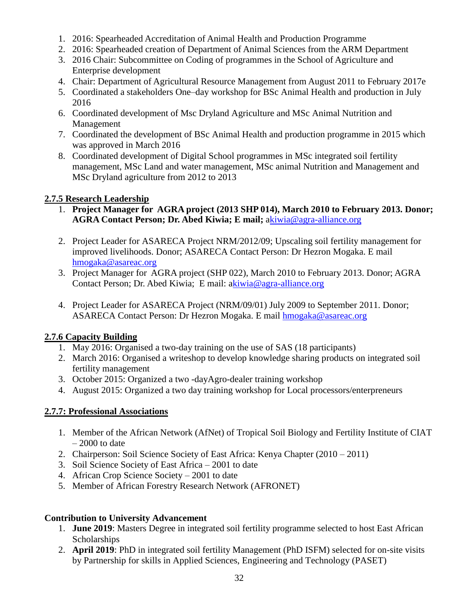- 1. 2016: Spearheaded Accreditation of Animal Health and Production Programme
- 2. 2016: Spearheaded creation of Department of Animal Sciences from the ARM Department
- 3. 2016 Chair: Subcommittee on Coding of programmes in the School of Agriculture and Enterprise development
- 4. Chair: Department of Agricultural Resource Management from August 2011 to February 2017e
- 5. Coordinated a stakeholders One–day workshop for BSc Animal Health and production in July 2016
- 6. Coordinated development of Msc Dryland Agriculture and MSc Animal Nutrition and Management
- 7. Coordinated the development of BSc Animal Health and production programme in 2015 which was approved in March 2016
- 8. Coordinated development of Digital School programmes in MSc integrated soil fertility management, MSc Land and water management, MSc animal Nutrition and Management and MSc Dryland agriculture from 2012 to 2013

## **2.7.5 Research Leadership**

- 1. **Project Manager for AGRA project (2013 SHP 014), March 2010 to February 2013. Donor; AGRA Contact Person; Dr. Abed Kiwia; E mail;** [akiwia@agra-alliance.org](mailto:kiwia@agra-alliance.org)
- 2. Project Leader for ASARECA Project NRM/2012/09; Upscaling soil fertility management for improved livelihoods. Donor; ASARECA Contact Person: Dr Hezron Mogaka. E mail [hmogaka@asareac.org](mailto:hmogaka@asareac.org)
- 3. Project Manager for AGRA project (SHP 022), March 2010 to February 2013. Donor; AGRA Contact Person; Dr. Abed Kiwia; E mail: [akiwia@agra-alliance.org](mailto:kiwia@agra-alliance.org)
- 4. Project Leader for ASARECA Project (NRM/09/01) July 2009 to September 2011. Donor; ASARECA Contact Person: Dr Hezron Mogaka. E mail [hmogaka@asareac.org](mailto:hmogaka@asareac.org)

# **2.7.6 Capacity Building**

- 1. May 2016: Organised a two-day training on the use of SAS (18 participants)
- 2. March 2016: Organised a writeshop to develop knowledge sharing products on integrated soil fertility management
- 3. October 2015: Organized a two -dayAgro-dealer training workshop
- 4. August 2015: Organized a two day training workshop for Local processors/enterpreneurs

# **2.7.7: Professional Associations**

- 1. Member of the African Network (AfNet) of Tropical Soil Biology and Fertility Institute of CIAT  $-2000$  to date
- 2. Chairperson: Soil Science Society of East Africa: Kenya Chapter (2010 2011)
- 3. Soil Science Society of East Africa 2001 to date
- 4. African Crop Science Society 2001 to date
- 5. Member of African Forestry Research Network (AFRONET)

# **Contribution to University Advancement**

- 1. **June 2019**: Masters Degree in integrated soil fertility programme selected to host East African **Scholarships**
- 2. **April 2019**: PhD in integrated soil fertility Management (PhD ISFM) selected for on-site visits by Partnership for skills in Applied Sciences, Engineering and Technology (PASET)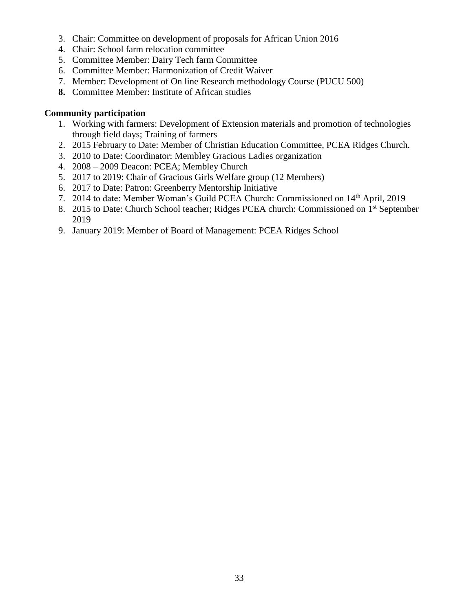- 3. Chair: Committee on development of proposals for African Union 2016
- 4. Chair: School farm relocation committee
- 5. Committee Member: Dairy Tech farm Committee
- 6. Committee Member: Harmonization of Credit Waiver
- 7. Member: Development of On line Research methodology Course (PUCU 500)
- **8.** Committee Member: Institute of African studies

#### **Community participation**

- 1. Working with farmers: Development of Extension materials and promotion of technologies through field days; Training of farmers
- 2. 2015 February to Date: Member of Christian Education Committee, PCEA Ridges Church.
- 3. 2010 to Date: Coordinator: Membley Gracious Ladies organization
- 4. 2008 2009 Deacon: PCEA; Membley Church
- 5. 2017 to 2019: Chair of Gracious Girls Welfare group (12 Members)
- 6. 2017 to Date: Patron: Greenberry Mentorship Initiative
- 7. 2014 to date: Member Woman's Guild PCEA Church: Commissioned on 14th April, 2019
- 8. 2015 to Date: Church School teacher; Ridges PCEA church: Commissioned on 1<sup>st</sup> September 2019
- 9. January 2019: Member of Board of Management: PCEA Ridges School